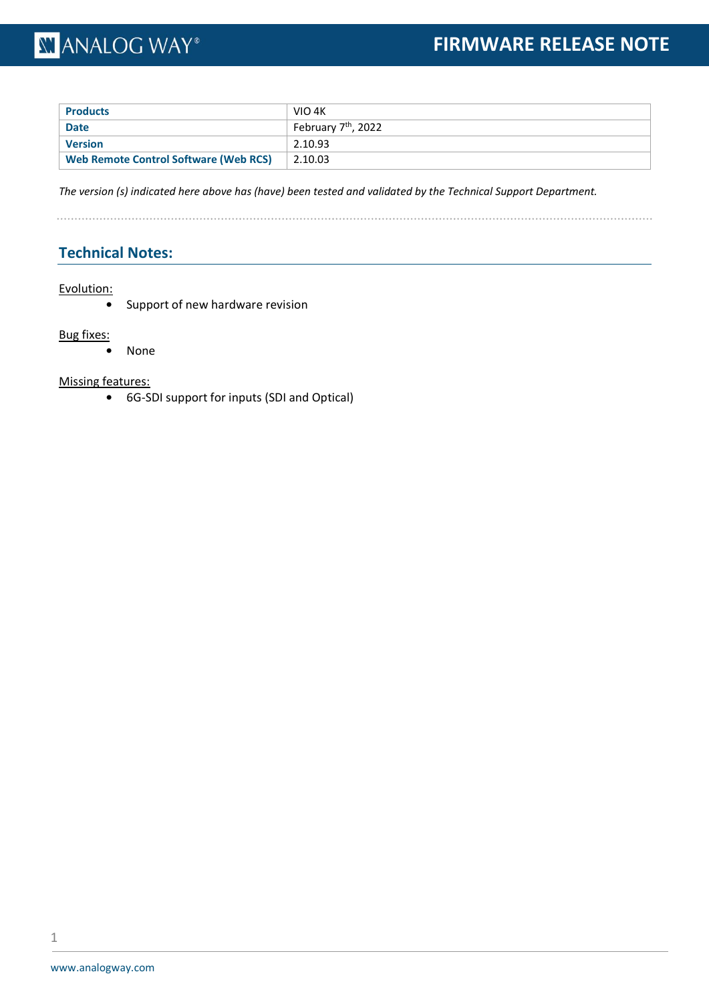| <b>Products</b>                       | VIO 4K                          |
|---------------------------------------|---------------------------------|
| <b>Date</b>                           | February 7 <sup>th</sup> , 2022 |
| <b>Version</b>                        | 2.10.93                         |
| Web Remote Control Software (Web RCS) | 2.10.03                         |

*The version (s) indicated here above has (have) been tested and validated by the Technical Support Department.*

. . . . . . . . . . . . . . . . . . . .

### **Technical Notes:**

### Evolution:

**•** Support of new hardware revision

### Bug fixes:

**•** None

### Missing features: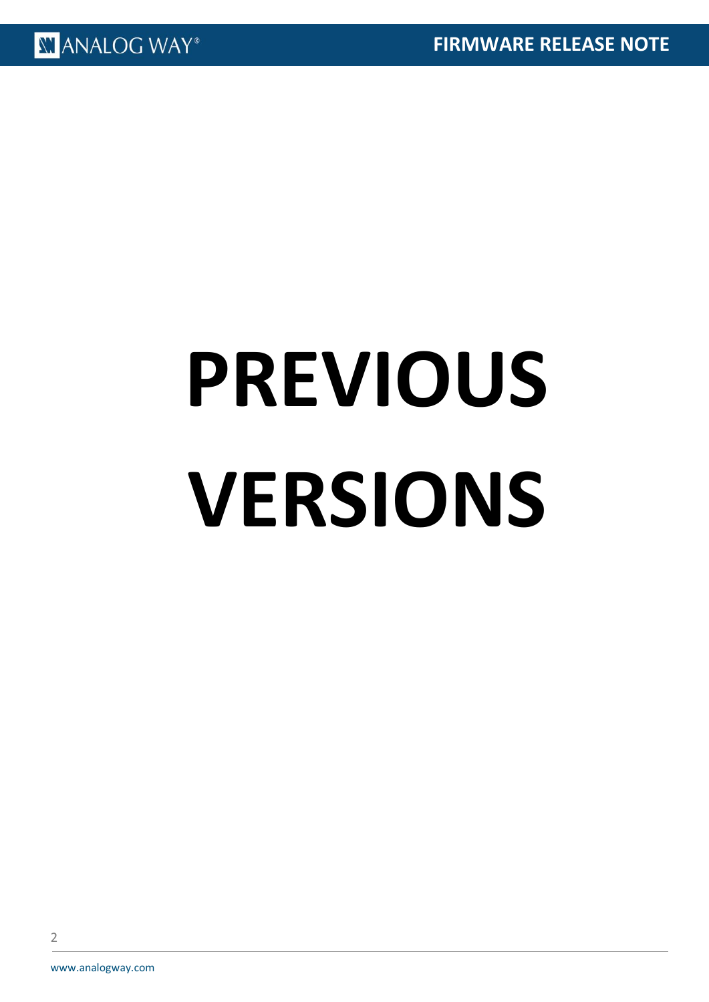# **PREVIOUS VERSIONS**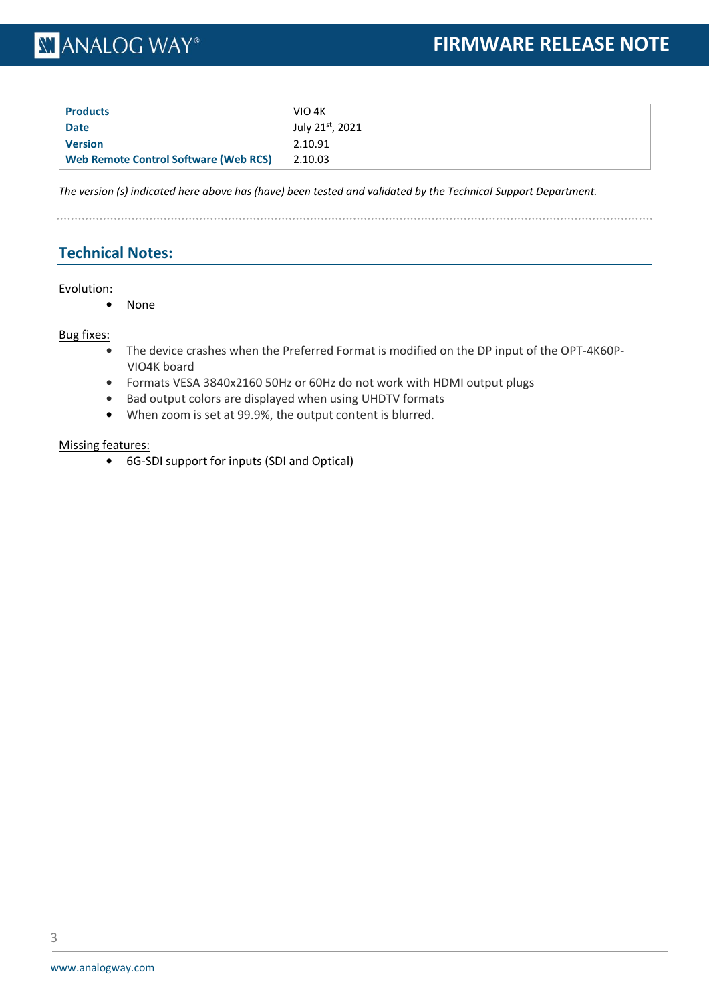| <b>Products</b>                              | VIO 4K          |
|----------------------------------------------|-----------------|
| <b>Date</b>                                  | July 21st, 2021 |
| <b>Version</b>                               | 2.10.91         |
| <b>Web Remote Control Software (Web RCS)</b> | 2.10.03         |

*The version (s) indicated here above has (have) been tested and validated by the Technical Support Department.*

### **Technical Notes:**

### Evolution:

**•** None

### Bug fixes:

- **•** The device crashes when the Preferred Format is modified on the DP input of the OPT-4K60P-VIO4K board
- **•** Formats VESA 3840x2160 50Hz or 60Hz do not work with HDMI output plugs
- **•** Bad output colors are displayed when using UHDTV formats
- **•** When zoom is set at 99.9%, the output content is blurred.

### Missing features: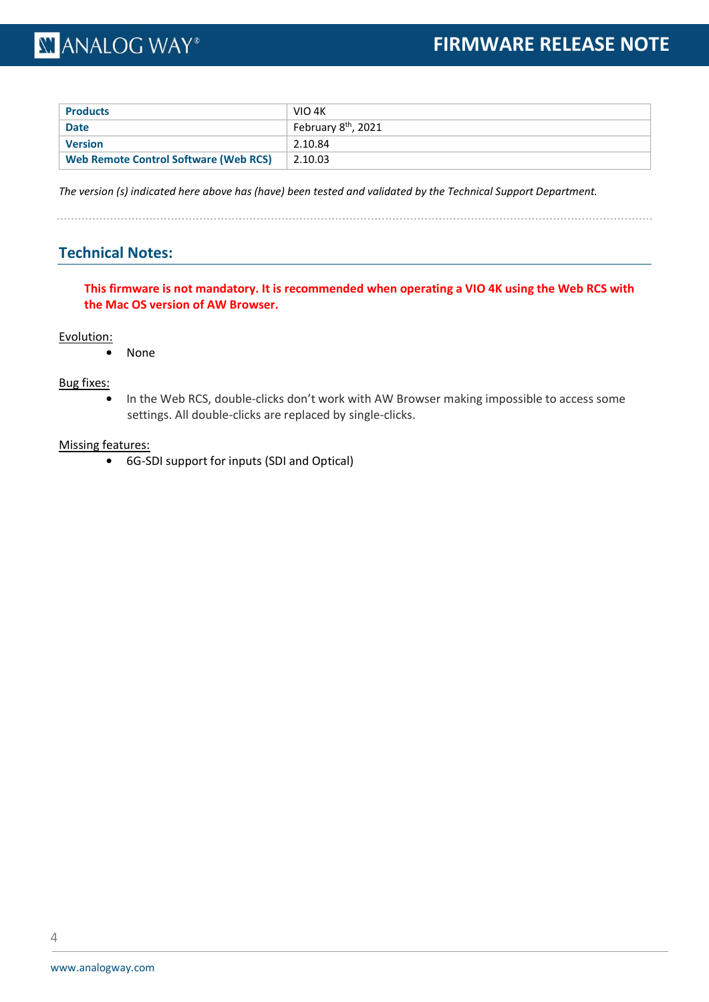| <b>Products</b>                              | VIO 4K                          |
|----------------------------------------------|---------------------------------|
| <b>Date</b>                                  | February 8 <sup>th</sup> , 2021 |
| <b>Version</b>                               | 2.10.84                         |
| <b>Web Remote Control Software (Web RCS)</b> | 2.10.03                         |

*The version (s) indicated here above has (have) been tested and validated by the Technical Support Department.*

. . . . . . . . . . . . . . . . . . .

### **Technical Notes:**

**This firmware is not mandatory. It is recommended when operating a VIO 4K using the Web RCS with the Mac OS version of AW Browser.**

#### Evolution:

**•** None

### Bug fixes:

**•** In the Web RCS, double-clicks don't work with AW Browser making impossible to access some settings. All double-clicks are replaced by single-clicks.

### Missing features: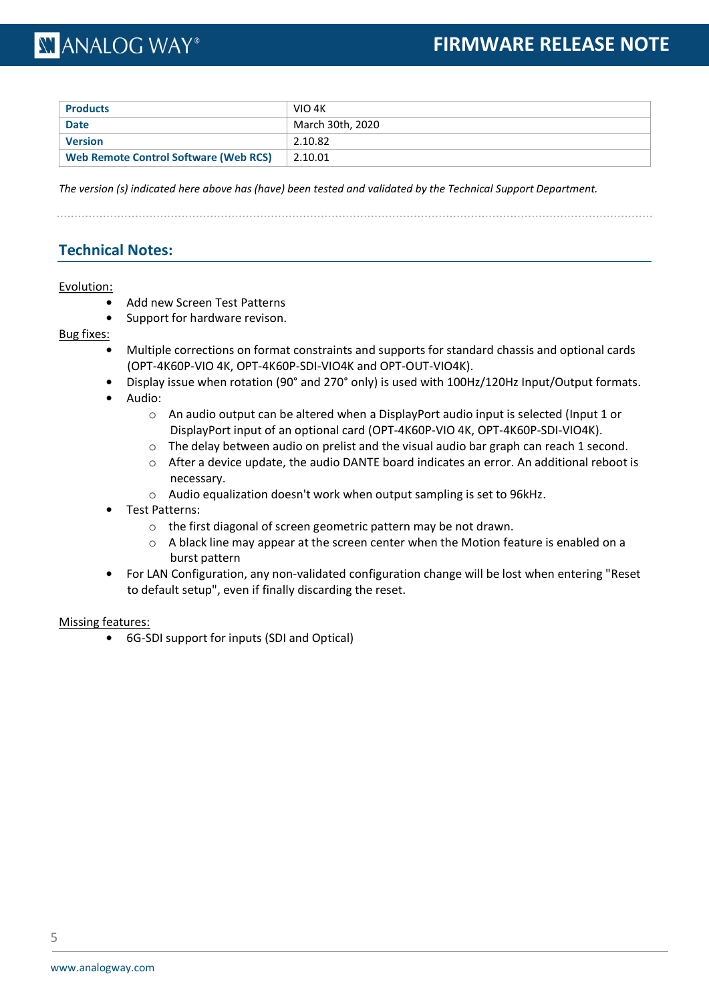| <b>Products</b>                              | VIO 4K           |
|----------------------------------------------|------------------|
| <b>Date</b>                                  | March 30th, 2020 |
| <b>Version</b>                               | 2.10.82          |
| <b>Web Remote Control Software (Web RCS)</b> | 2.10.01          |

*The version (s) indicated here above has (have) been tested and validated by the Technical Support Department.*

### **Technical Notes:**

### Evolution:

- **•** Add new Screen Test Patterns
- **•** Support for hardware revison.

### Bug fixes:

- **•** Multiple corrections on format constraints and supports for standard chassis and optional cards (OPT-4K60P-VIO 4K, OPT-4K60P-SDI-VIO4K and OPT-OUT-VIO4K).
- **•** Display issue when rotation (90° and 270° only) is used with 100Hz/120Hz Input/Output formats.
- **•** Audio:
	- o An audio output can be altered when a DisplayPort audio input is selected (Input 1 or DisplayPort input of an optional card (OPT-4K60P-VIO 4K, OPT-4K60P-SDI-VIO4K).
	- $\circ$  The delay between audio on prelist and the visual audio bar graph can reach 1 second.
	- o After a device update, the audio DANTE board indicates an error. An additional reboot is necessary.
	- o Audio equalization doesn't work when output sampling is set to 96kHz.
- **•** Test Patterns:
	- o the first diagonal of screen geometric pattern may be not drawn.
	- $\circ$  A black line may appear at the screen center when the Motion feature is enabled on a burst pattern
- **•** For LAN Configuration, any non-validated configuration change will be lost when entering "Reset to default setup", even if finally discarding the reset.

### Missing features: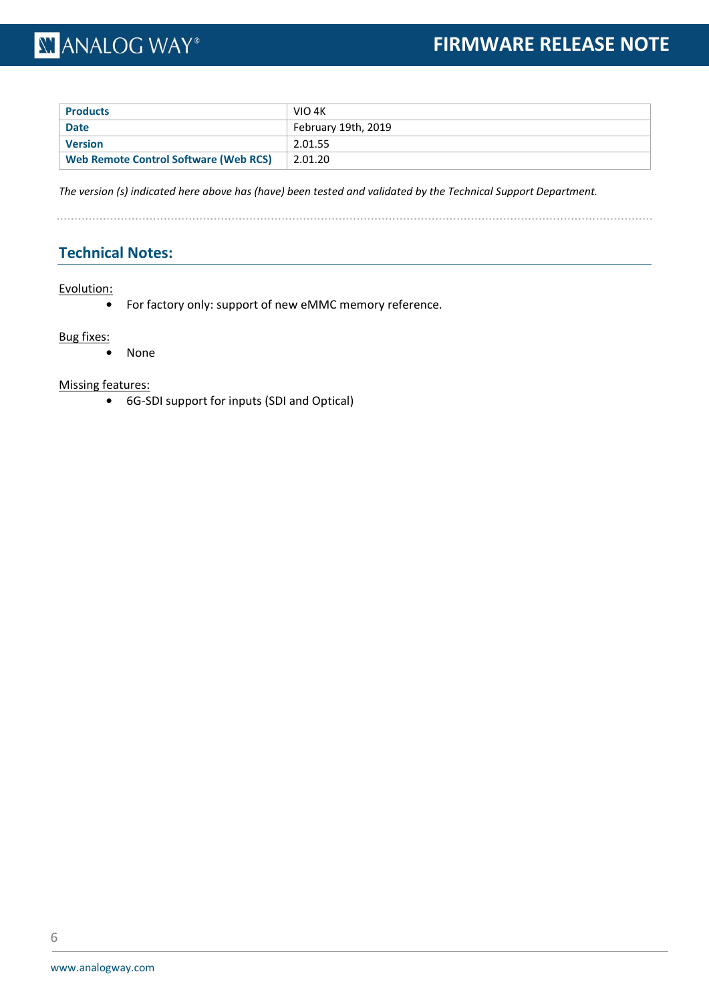| <b>Products</b>                       | VIO 4K              |
|---------------------------------------|---------------------|
| <b>Date</b>                           | February 19th, 2019 |
| <b>Version</b>                        | 2.01.55             |
| Web Remote Control Software (Web RCS) | 2.01.20             |

*The version (s) indicated here above has (have) been tested and validated by the Technical Support Department.*

. . . . . . . . . . . . . . . . . . .

### **Technical Notes:**

### Evolution:

**•** For factory only: support of new eMMC memory reference.

### Bug fixes:

**•** None

### Missing features: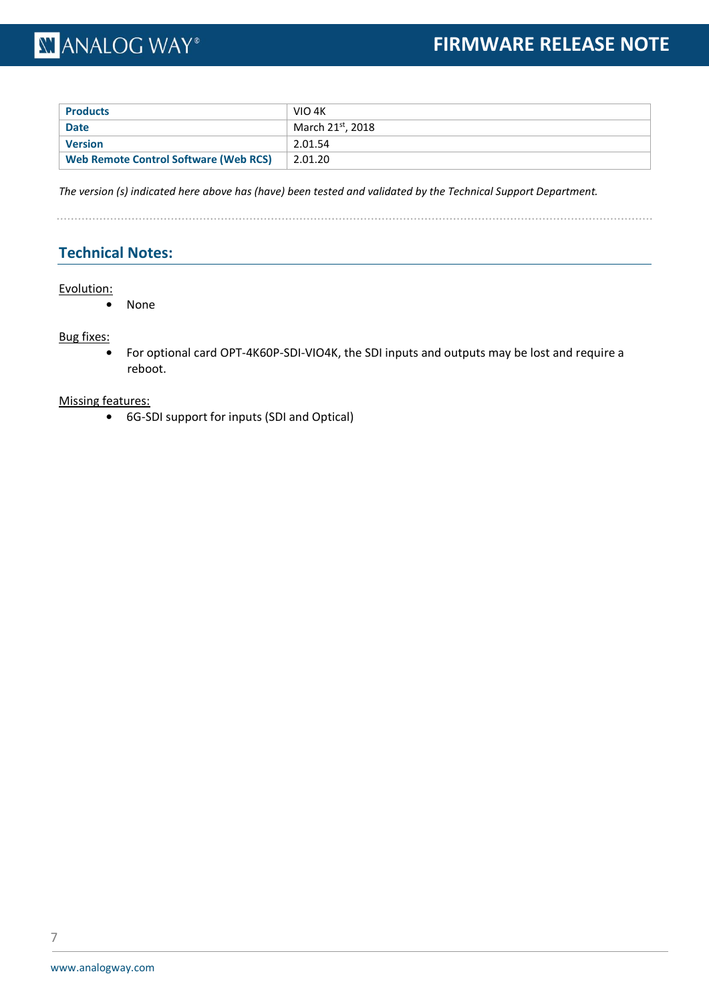| <b>Products</b>                              | VIO 4K           |
|----------------------------------------------|------------------|
| <b>Date</b>                                  | March 21st, 2018 |
| <b>Version</b>                               | 2.01.54          |
| <b>Web Remote Control Software (Web RCS)</b> | 2.01.20          |

*The version (s) indicated here above has (have) been tested and validated by the Technical Support Department.*

### **Technical Notes:**

### Evolution:

**•** None

### Bug fixes:

**•** For optional card OPT-4K60P-SDI-VIO4K, the SDI inputs and outputs may be lost and require a reboot.

### Missing features: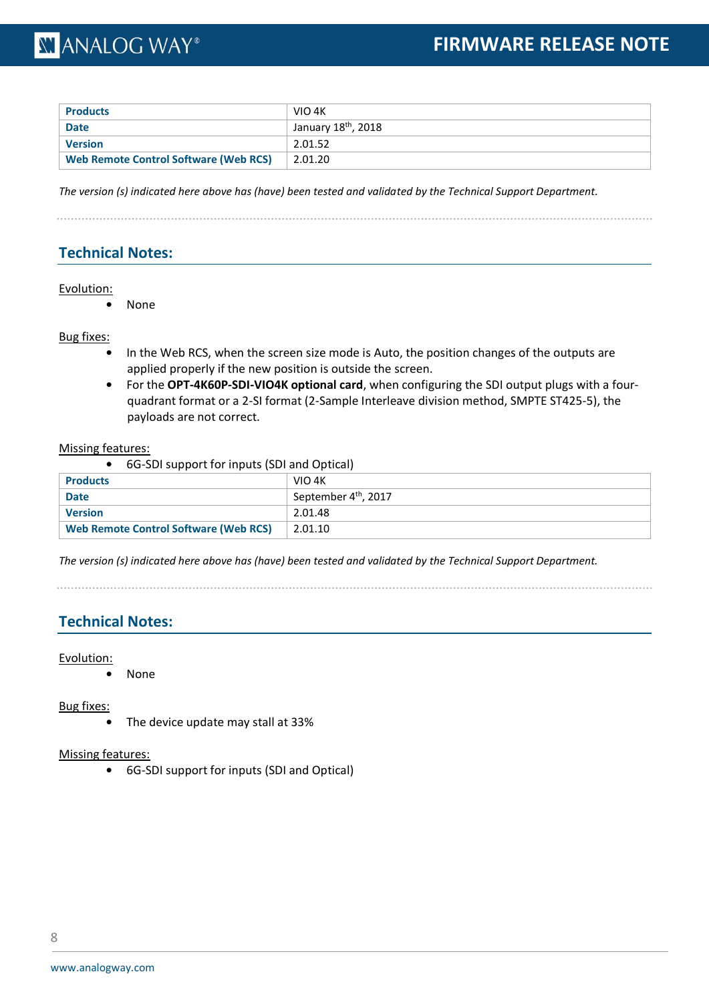| <b>Products</b>                              | VIO 4K                          |
|----------------------------------------------|---------------------------------|
| <b>Date</b>                                  | January 18 <sup>th</sup> , 2018 |
| <b>Version</b>                               | 2.01.52                         |
| <b>Web Remote Control Software (Web RCS)</b> | 2.01.20                         |

*The version (s) indicated here above has (have) been tested and validated by the Technical Support Department.*

### **Technical Notes:**

### Evolution:

**•** None

### Bug fixes:

- **•** In the Web RCS, when the screen size mode is Auto, the position changes of the outputs are applied properly if the new position is outside the screen.
- **•** For the **OPT-4K60P-SDI-VIO4K optional card**, when configuring the SDI output plugs with a fourquadrant format or a 2-SI format (2-Sample Interleave division method, SMPTE ST425-5), the payloads are not correct.

#### Missing features:

**•** 6G-SDI support for inputs (SDI and Optical)

| <b>Products</b>                       | VIO 4K                           |  |  |  |
|---------------------------------------|----------------------------------|--|--|--|
| <b>Date</b>                           | September 4 <sup>th</sup> , 2017 |  |  |  |
| <b>Version</b>                        | 2.01.48                          |  |  |  |
| Web Remote Control Software (Web RCS) | 2.01.10                          |  |  |  |

*The version (s) indicated here above has (have) been tested and validated by the Technical Support Department.*

### **Technical Notes:**

### Evolution:

**•** None

Bug fixes:

**•** The device update may stall at 33%

### Missing features: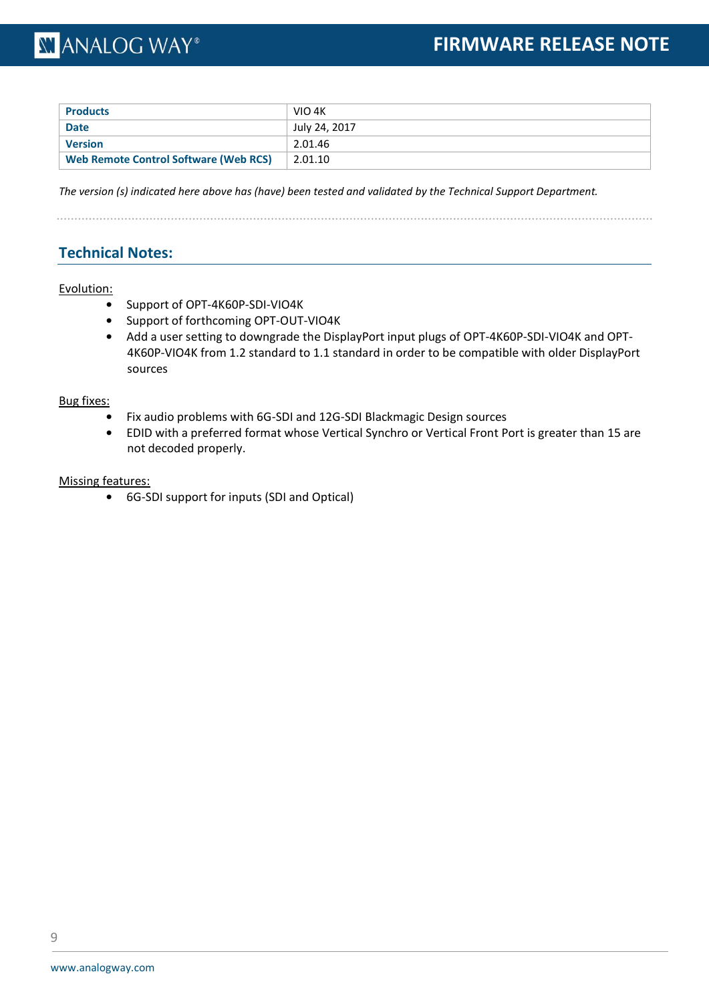| <b>Products</b>                              | VIO 4K        |
|----------------------------------------------|---------------|
| <b>Date</b>                                  | July 24, 2017 |
| Version                                      | 2.01.46       |
| <b>Web Remote Control Software (Web RCS)</b> | 2.01.10       |

*The version (s) indicated here above has (have) been tested and validated by the Technical Support Department.*

### **Technical Notes:**

### Evolution:

- **•** Support of OPT-4K60P-SDI-VIO4K
- **•** Support of forthcoming OPT-OUT-VIO4K
- **•** Add a user setting to downgrade the DisplayPort input plugs of OPT-4K60P-SDI-VIO4K and OPT-4K60P-VIO4K from 1.2 standard to 1.1 standard in order to be compatible with older DisplayPort sources

### Bug fixes:

- **•** Fix audio problems with 6G-SDI and 12G-SDI Blackmagic Design sources
- **•** EDID with a preferred format whose Vertical Synchro or Vertical Front Port is greater than 15 are not decoded properly.

### Missing features: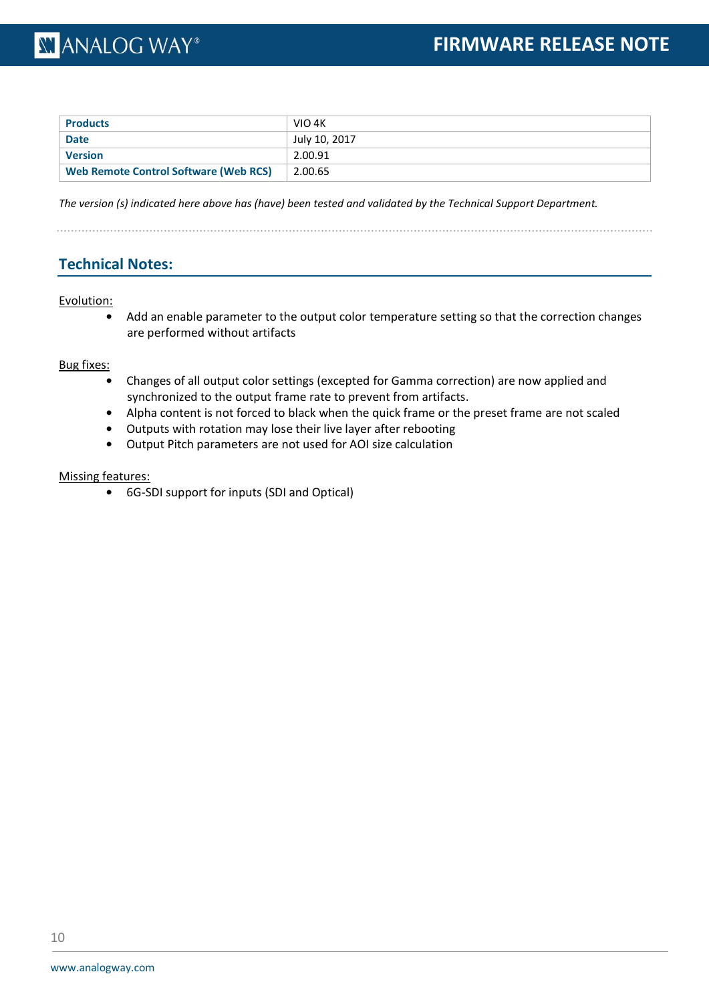| <b>Products</b>                       | VIO 4K        |
|---------------------------------------|---------------|
| <b>Date</b>                           | July 10, 2017 |
| <b>Version</b>                        | 2.00.91       |
| Web Remote Control Software (Web RCS) | 2.00.65       |

*The version (s) indicated here above has (have) been tested and validated by the Technical Support Department.*

### **Technical Notes:**

### Evolution:

**•** Add an enable parameter to the output color temperature setting so that the correction changes are performed without artifacts

Bug fixes:

- **•** Changes of all output color settings (excepted for Gamma correction) are now applied and synchronized to the output frame rate to prevent from artifacts.
- **•** Alpha content is not forced to black when the quick frame or the preset frame are not scaled
- **•** Outputs with rotation may lose their live layer after rebooting
- **•** Output Pitch parameters are not used for AOI size calculation

### Missing features: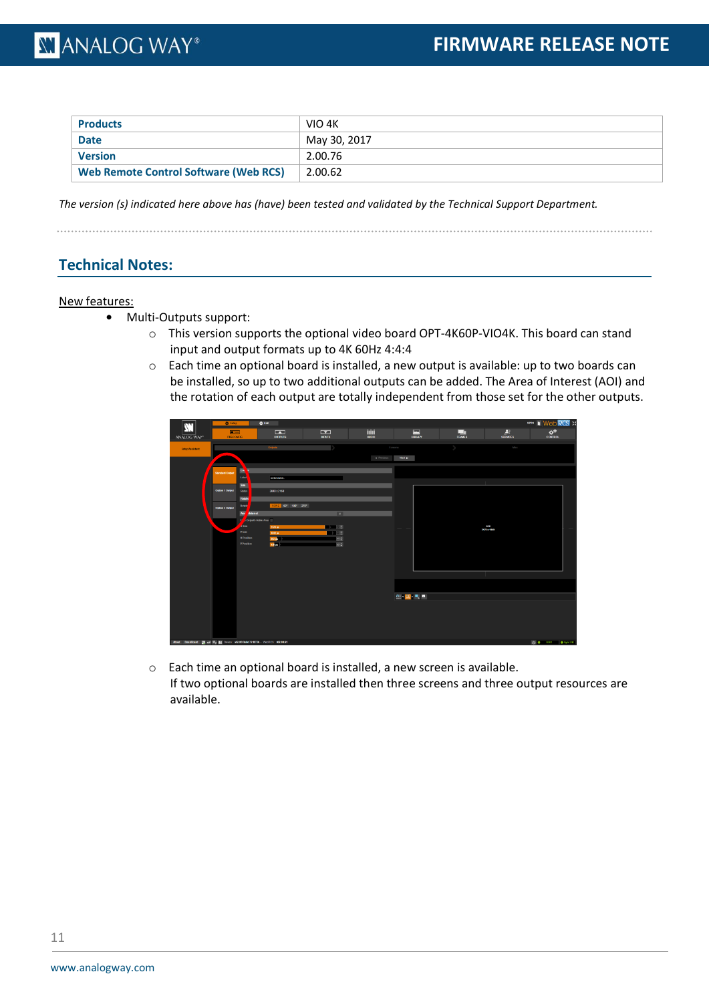| <b>Products</b>                       | VIO 4K       |
|---------------------------------------|--------------|
| <b>Date</b>                           | May 30, 2017 |
| Version                               | 2.00.76      |
| Web Remote Control Software (Web RCS) | 2.00.62      |

*The version (s) indicated here above has (have) been tested and validated by the Technical Support Department.*

### **Technical Notes:**

#### New features:

- **•** Multi-Outputs support:
	- $\circ$  This version supports the optional video board OPT-4K60P-VIO4K. This board can stand input and output formats up to 4K 60Hz 4:4:4
	- o Each time an optional board is installed, a new output is available: up to two boards can be installed, so up to two additional outputs can be added. The Area of Interest (AOI) and the rotation of each output are totally independent from those set for the other outputs.

| $\mathbf{M}$                                                                              | <b>Q</b> Setup              | <b>O</b> Est                            |                                            |                               |               |              |                         |                            | <b>V701 II Web RCS X</b>                        |
|-------------------------------------------------------------------------------------------|-----------------------------|-----------------------------------------|--------------------------------------------|-------------------------------|---------------|--------------|-------------------------|----------------------------|-------------------------------------------------|
| ANALOG WAY*                                                                               | $\blacksquare$<br>PRECONFIG |                                         | $\overline{\phantom{a}}$<br><b>OUTPUTS</b> | $\mathbf{r}$<br><b>BIPUTS</b> | hill<br>AUDIO | ▣<br>LIBRARY | $\frac{1}{\text{Rows}}$ | $\frac{2}{\sin \theta}$    | $\pmb{\alpha}^{\pmb{\alpha}}$<br><b>CONTROL</b> |
| <b>Setup Assistant</b>                                                                    |                             |                                         | Outputs                                    |                               | Screams       |              |                         | Mac                        |                                                 |
|                                                                                           |                             |                                         |                                            |                               | 4 Previous    | Not a        |                         |                            |                                                 |
|                                                                                           | <b>Standard Output</b>      | <u>a</u>                                |                                            |                               |               |              |                         |                            |                                                 |
|                                                                                           |                             | Label                                   | Entriatel                                  |                               |               |              |                         |                            |                                                 |
|                                                                                           | Option 1 Output             | Six <sup>1</sup><br>Stribs              | 3840x2160                                  |                               |               |              |                         |                            |                                                 |
|                                                                                           |                             | Rotatio                                 |                                            |                               |               |              |                         |                            |                                                 |
|                                                                                           | Option 2 Output             | Rotello<br><b>Any</b><br><b>Antonic</b> | NONE 90" 180" 270"                         | $\sqrt{2}$                    |               |              |                         |                            |                                                 |
|                                                                                           |                             | Output's Active Avea<br>n               |                                            |                               |               |              |                         |                            |                                                 |
|                                                                                           |                             | $\sqrt{3}$<br>$V$ Size                  | 3478 pm<br>1849 px                         | $-0.000$<br>$\blacksquare$    |               |              |                         | <b>A/CH</b><br>3178 x 1849 |                                                 |
|                                                                                           |                             | <b>H</b> Position<br>VPosition          | 383 pk<br>$136 -$                          | 0 0 <br>$\circ$               |               |              |                         |                            |                                                 |
|                                                                                           |                             |                                         |                                            |                               |               |              |                         |                            |                                                 |
|                                                                                           |                             |                                         |                                            |                               |               |              |                         |                            |                                                 |
|                                                                                           |                             |                                         |                                            |                               |               |              |                         |                            |                                                 |
|                                                                                           |                             |                                         |                                            |                               |               |              |                         |                            |                                                 |
|                                                                                           |                             |                                         |                                            |                               |               | ◎理想          |                         |                            |                                                 |
|                                                                                           |                             |                                         |                                            |                               |               |              |                         |                            |                                                 |
|                                                                                           |                             |                                         |                                            |                               |               |              |                         |                            |                                                 |
|                                                                                           |                             |                                         |                                            |                               |               |              |                         |                            |                                                 |
|                                                                                           |                             |                                         |                                            |                               |               |              |                         |                            |                                                 |
| About DashBoard DV of O <sub>A</sub> (b) Device: v02.00 Build 72 BETA - WIDROS: v02.00.61 |                             |                                         |                                            |                               |               |              |                         |                            | ch a view a system                              |

o Each time an optional board is installed, a new screen is available. If two optional boards are installed then three screens and three output resources are available.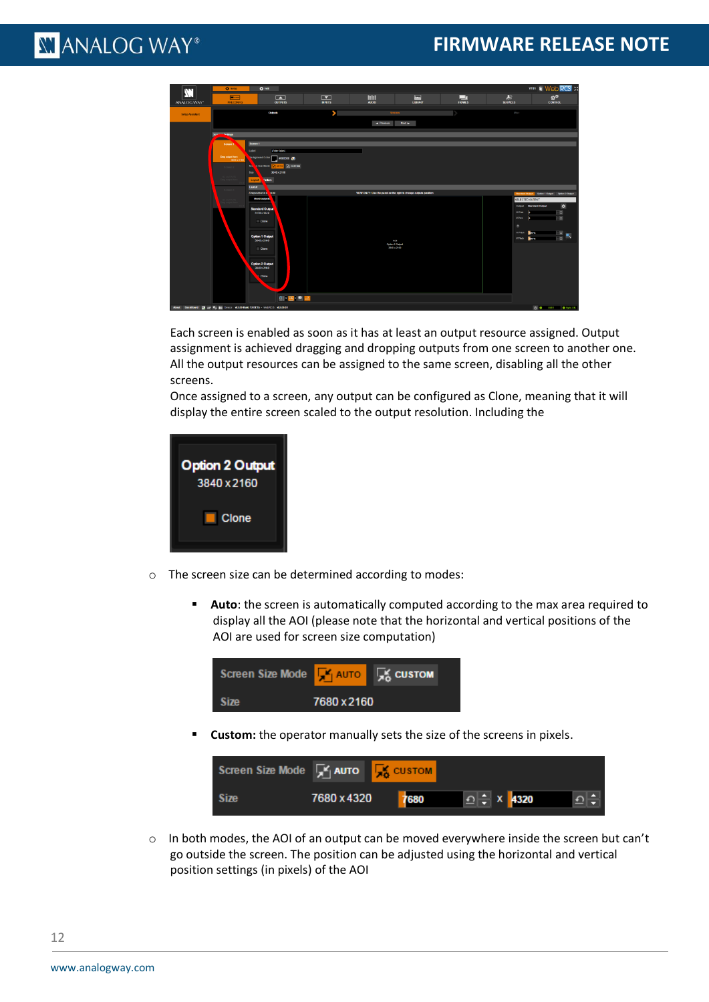

Each screen is enabled as soon as it has at least an output resource assigned. Output assignment is achieved dragging and dropping outputs from one screen to another one. All the output resources can be assigned to the same screen, disabling all the other screens.

Once assigned to a screen, any output can be configured as Clone, meaning that it will display the entire screen scaled to the output resolution. Including the



- o The screen size can be determined according to modes:
	- **EXECO 1** Auto: the screen is automatically computed according to the max area required to display all the AOI (please note that the horizontal and vertical positions of the AOI are used for screen size computation)



**EXECUSTOM:** the operator manually sets the size of the screens in pixels.

| Screen Size Mode EY AUTO EX CUSTOM |                                                      |  |  |
|------------------------------------|------------------------------------------------------|--|--|
| <b>Size</b>                        | 7680 x 4320 7680 $\bigcirc$ x 4320 $\bigcirc$ $\div$ |  |  |

 $\circ$  In both modes, the AOI of an output can be moved everywhere inside the screen but can't go outside the screen. The position can be adjusted using the horizontal and vertical position settings (in pixels) of the AOI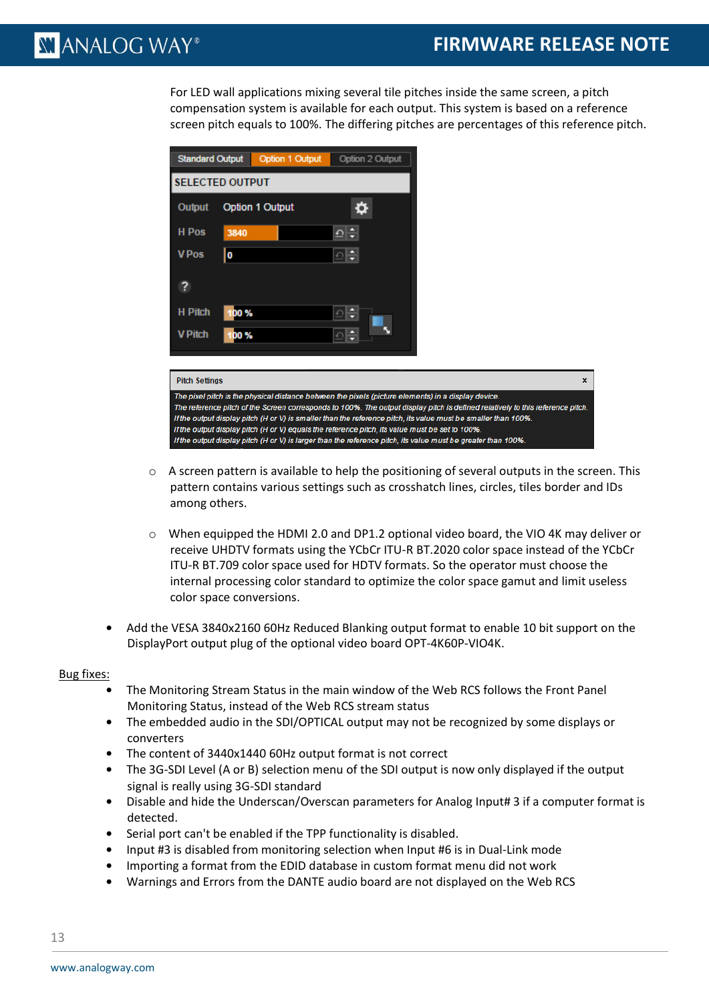$\mathbf{x}$ 

**N' ANALOG WAY®** 

For LED wall applications mixing several tile pitches inside the same screen, a pitch compensation system is available for each output. This system is based on a reference screen pitch equals to 100%. The differing pitches are percentages of this reference pitch.



The pixel pitch is the physical distance between the pixels (picture elements) in a display device. The reference pitch of the Screen corresponds to 100%. The output display pitch is defined relatively to this reference pitch If the output display pitch (H or V) is smaller than the reference pitch, its value must be smaller than 100% If the output display pitch (H or V) equals the reference pitch, its value must be set to 100% If the output display pitch (H or V) is larger than the reference pitch, its value must be greater than 100%

- $\circ$  A screen pattern is available to help the positioning of several outputs in the screen. This pattern contains various settings such as crosshatch lines, circles, tiles border and IDs among others.
- $\circ$  When equipped the HDMI 2.0 and DP1.2 optional video board, the VIO 4K may deliver or receive UHDTV formats using the YCbCr ITU-R BT.2020 color space instead of the YCbCr ITU-R BT.709 color space used for HDTV formats. So the operator must choose the internal processing color standard to optimize the color space gamut and limit useless color space conversions.
- **•** Add the VESA 3840x2160 60Hz Reduced Blanking output format to enable 10 bit support on the DisplayPort output plug of the optional video board OPT-4K60P-VIO4K.

### Bug fixes:

- **•** The Monitoring Stream Status in the main window of the Web RCS follows the Front Panel Monitoring Status, instead of the Web RCS stream status
- **•** The embedded audio in the SDI/OPTICAL output may not be recognized by some displays or converters
- **•** The content of 3440x1440 60Hz output format is not correct
- **•** The 3G-SDI Level (A or B) selection menu of the SDI output is now only displayed if the output signal is really using 3G-SDI standard
- **•** Disable and hide the Underscan/Overscan parameters for Analog Input# 3 if a computer format is detected.
- **•** Serial port can't be enabled if the TPP functionality is disabled.
- **•** Input #3 is disabled from monitoring selection when Input #6 is in Dual-Link mode
- **•** Importing a format from the EDID database in custom format menu did not work
- **•** Warnings and Errors from the DANTE audio board are not displayed on the Web RCS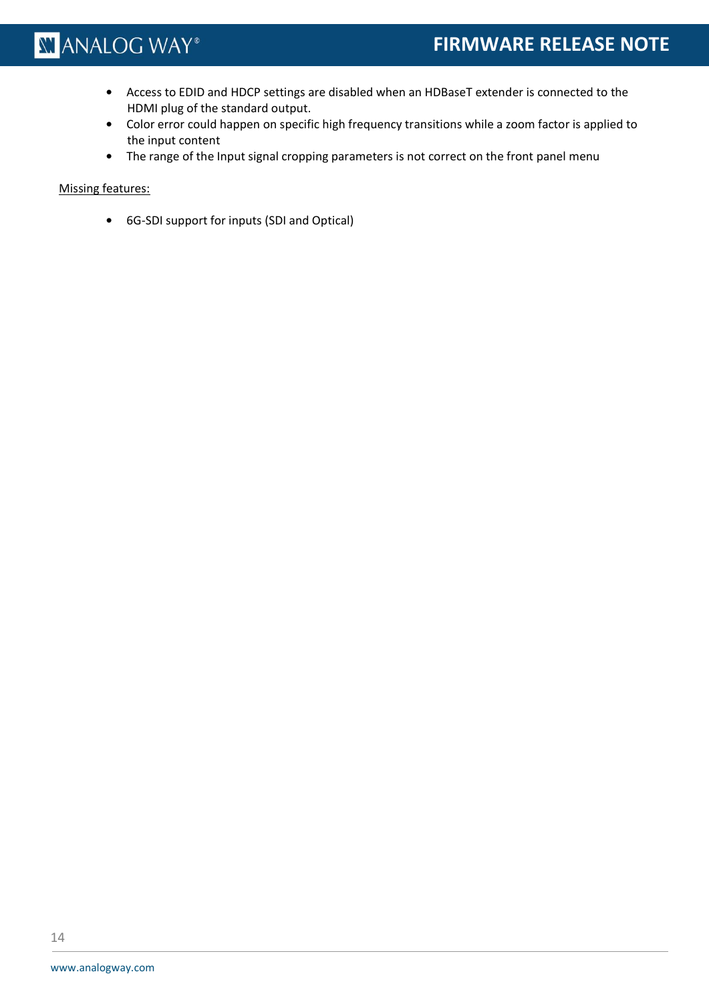- **•** Access to EDID and HDCP settings are disabled when an HDBaseT extender is connected to the HDMI plug of the standard output.
- **•** Color error could happen on specific high frequency transitions while a zoom factor is applied to the input content
- **•** The range of the Input signal cropping parameters is not correct on the front panel menu

### Missing features: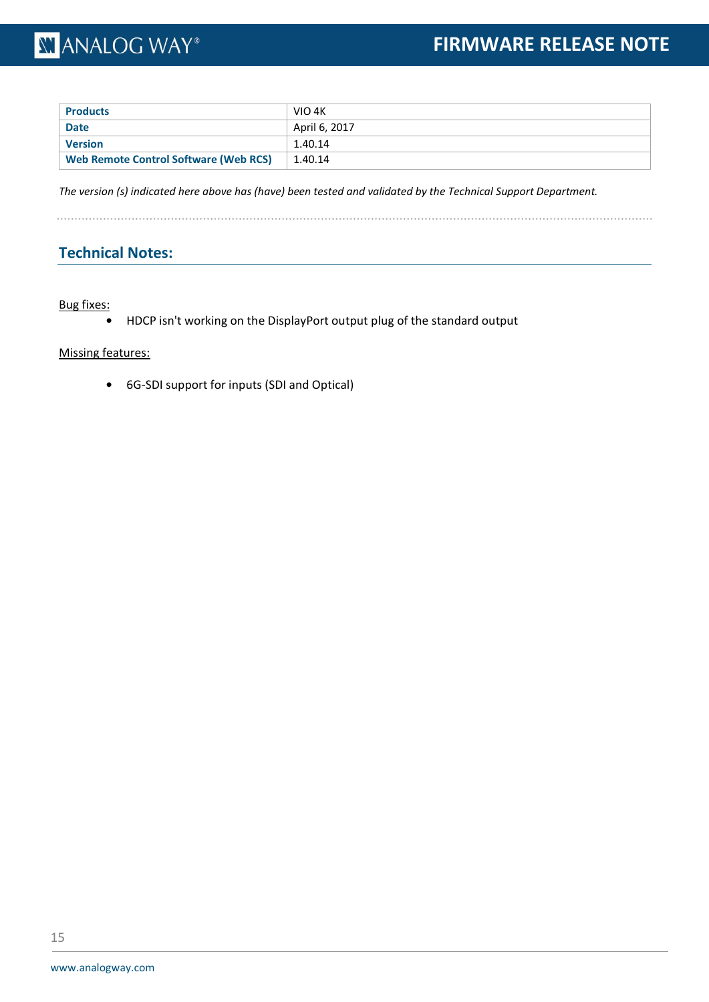| <b>Products</b>                              | VIO 4K        |
|----------------------------------------------|---------------|
| <b>Date</b>                                  | April 6, 2017 |
| <b>Version</b>                               | 1.40.14       |
| <b>Web Remote Control Software (Web RCS)</b> | 1.40.14       |

*The version (s) indicated here above has (have) been tested and validated by the Technical Support Department.*

. . . . . . . . . . . . . . . . .

### **Technical Notes:**

Bug fixes:

**•** HDCP isn't working on the DisplayPort output plug of the standard output

Missing features: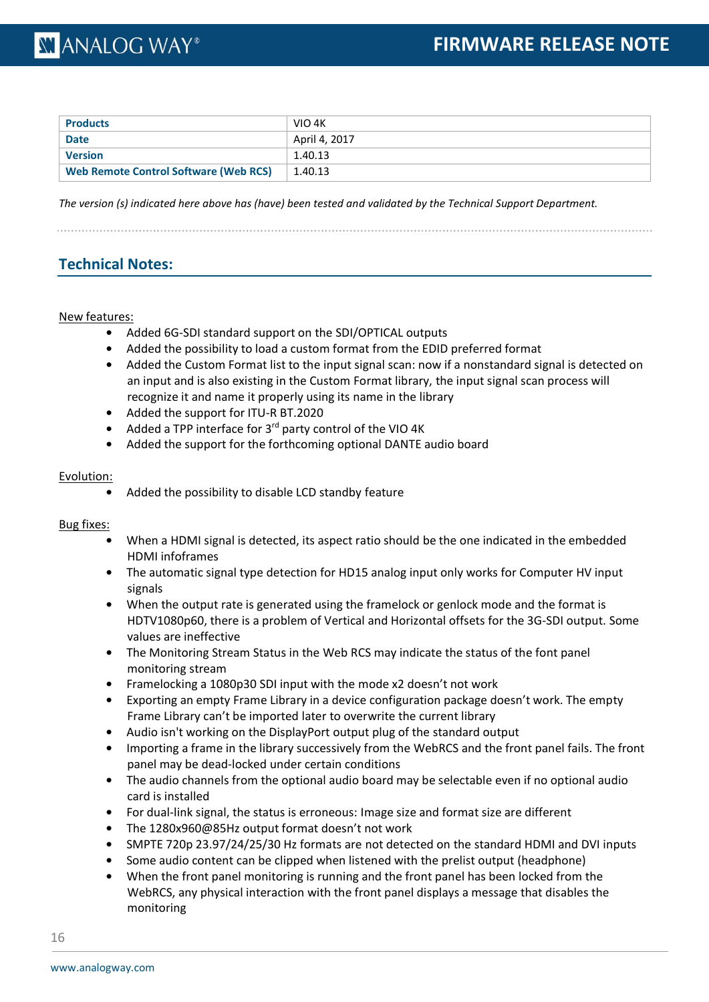| <b>Products</b>                              | VIO 4K        |
|----------------------------------------------|---------------|
| <b>Date</b>                                  | April 4, 2017 |
| <b>Version</b>                               | 1.40.13       |
| <b>Web Remote Control Software (Web RCS)</b> | 1.40.13       |

*The version (s) indicated here above has (have) been tested and validated by the Technical Support Department.*

### **Technical Notes:**

### New features:

- **•** Added 6G-SDI standard support on the SDI/OPTICAL outputs
- **•** Added the possibility to load a custom format from the EDID preferred format
- Added the Custom Format list to the input signal scan: now if a nonstandard signal is detected on an input and is also existing in the Custom Format library, the input signal scan process will recognize it and name it properly using its name in the library
- **•** Added the support for ITU-R BT.2020
- **•** Added a TPP interface for 3rd party control of the VIO 4K
- **•** Added the support for the forthcoming optional DANTE audio board

### Evolution:

**•** Added the possibility to disable LCD standby feature

### Bug fixes:

- **•** When a HDMI signal is detected, its aspect ratio should be the one indicated in the embedded HDMI infoframes
- **•** The automatic signal type detection for HD15 analog input only works for Computer HV input signals
- **•** When the output rate is generated using the framelock or genlock mode and the format is HDTV1080p60, there is a problem of Vertical and Horizontal offsets for the 3G-SDI output. Some values are ineffective
- **•** The Monitoring Stream Status in the Web RCS may indicate the status of the font panel monitoring stream
- **•** Framelocking a 1080p30 SDI input with the mode x2 doesn't not work
- **•** Exporting an empty Frame Library in a device configuration package doesn't work. The empty Frame Library can't be imported later to overwrite the current library
- **•** Audio isn't working on the DisplayPort output plug of the standard output
- **•** Importing a frame in the library successively from the WebRCS and the front panel fails. The front panel may be dead-locked under certain conditions
- **•** The audio channels from the optional audio board may be selectable even if no optional audio card is installed
- **•** For dual-link signal, the status is erroneous: Image size and format size are different
- **•** The 1280x960@85Hz output format doesn't not work
- **•** SMPTE 720p 23.97/24/25/30 Hz formats are not detected on the standard HDMI and DVI inputs
- **•** Some audio content can be clipped when listened with the prelist output (headphone)
- **•** When the front panel monitoring is running and the front panel has been locked from the WebRCS, any physical interaction with the front panel displays a message that disables the monitoring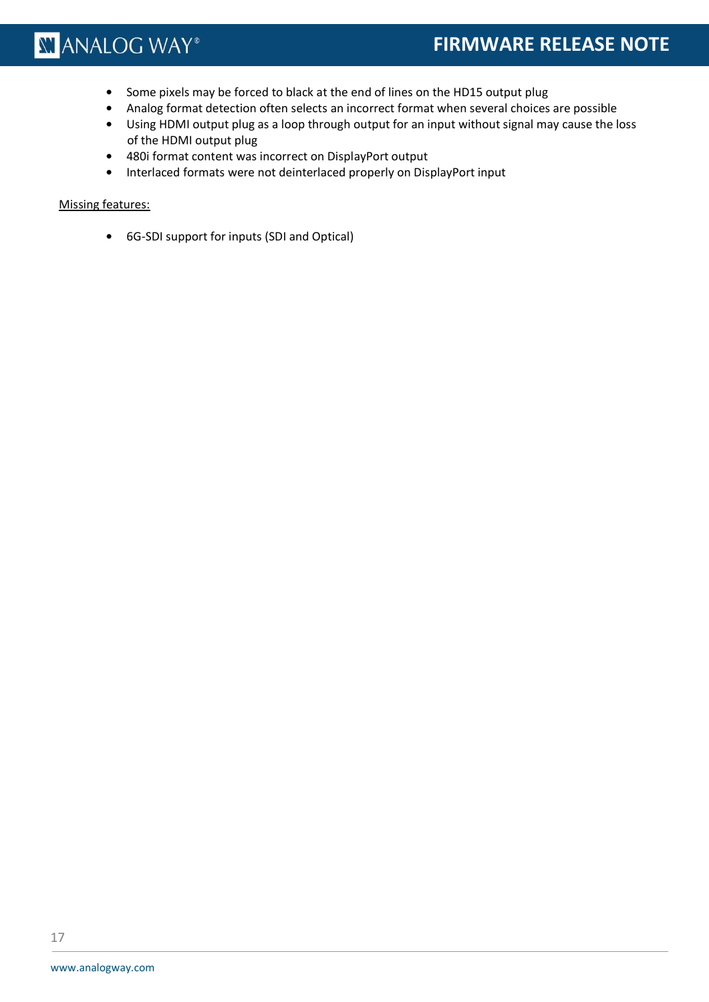### **FIRMWARE RELEASE NOTE**

- **•** Some pixels may be forced to black at the end of lines on the HD15 output plug
- **•** Analog format detection often selects an incorrect format when several choices are possible
- **•** Using HDMI output plug as a loop through output for an input without signal may cause the loss of the HDMI output plug
- **•** 480i format content was incorrect on DisplayPort output
- **•** Interlaced formats were not deinterlaced properly on DisplayPort input

### Missing features: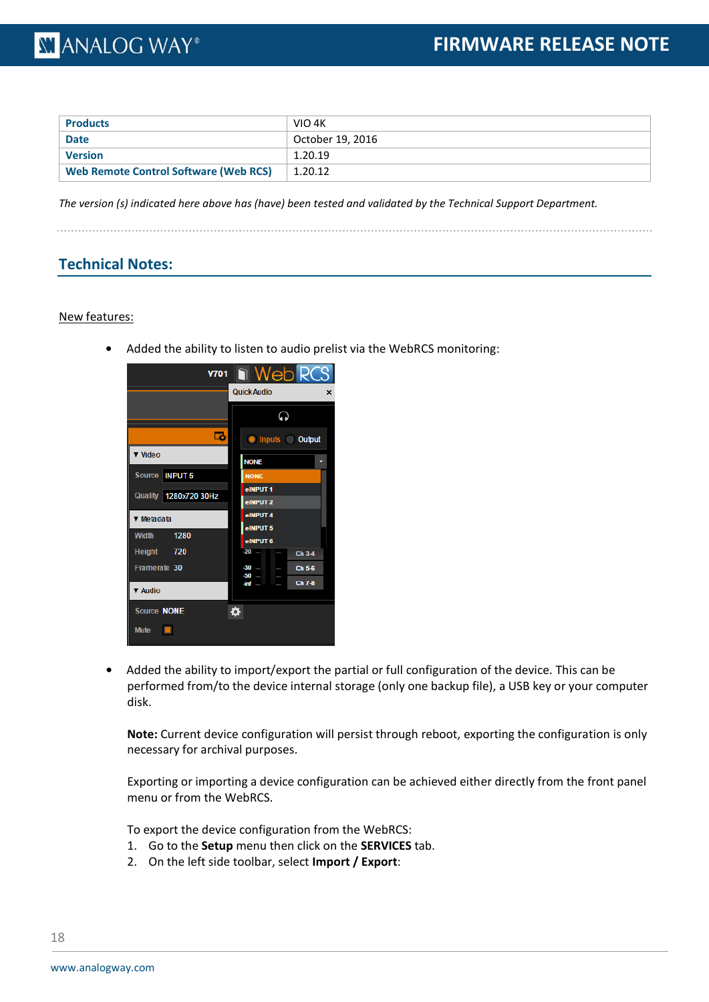| <b>Products</b>                              | VIO 4K           |
|----------------------------------------------|------------------|
| <b>Date</b>                                  | October 19, 2016 |
| <b>Version</b>                               | 1.20.19          |
| <b>Web Remote Control Software (Web RCS)</b> | 1.20.12          |

*The version (s) indicated here above has (have) been tested and validated by the Technical Support Department.*

### **Technical Notes:**

#### New features:

**•** Added the ability to listen to audio prelist via the WebRCS monitoring:



**•** Added the ability to import/export the partial or full configuration of the device. This can be performed from/to the device internal storage (only one backup file), a USB key or your computer disk.

**Note:** Current device configuration will persist through reboot, exporting the configuration is only necessary for archival purposes.

Exporting or importing a device configuration can be achieved either directly from the front panel menu or from the WebRCS.

To export the device configuration from the WebRCS:

- 1. Go to the **Setup** menu then click on the **SERVICES** tab.
- 2. On the left side toolbar, select **Import / Export**: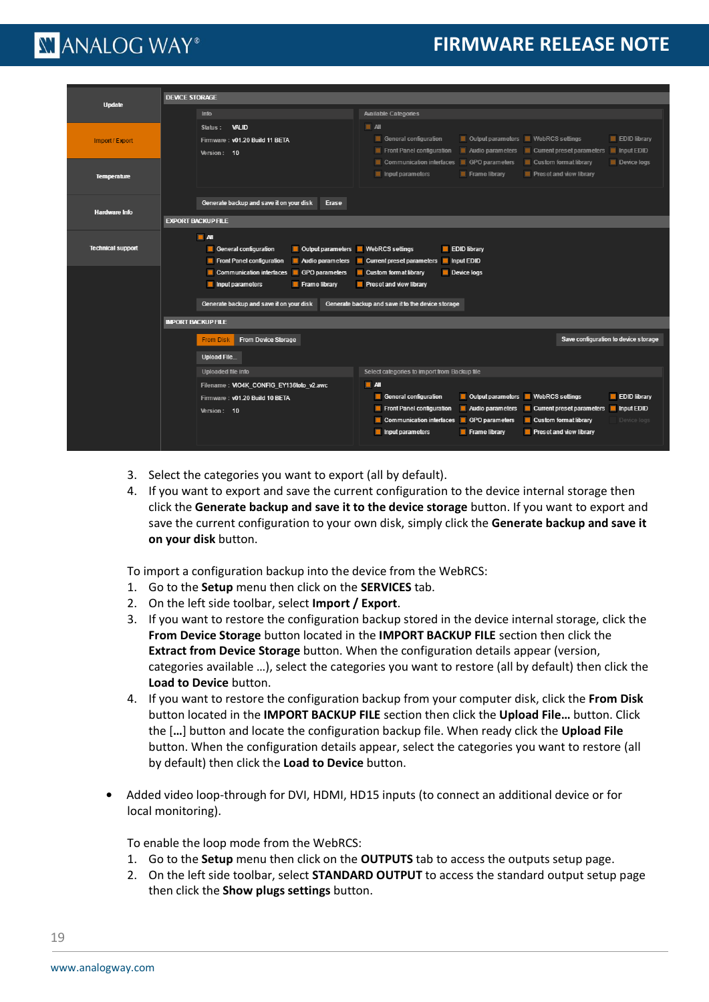### **FIRMWARE RELEASE NOTE**

### **XI ANALOG WAY**®

|                          | <b>DEVICE STORAGE</b>                             |                                                                                                           |  |  |  |  |  |  |  |
|--------------------------|---------------------------------------------------|-----------------------------------------------------------------------------------------------------------|--|--|--|--|--|--|--|
| <b>Update</b>            |                                                   |                                                                                                           |  |  |  |  |  |  |  |
|                          | Info                                              | <b>Available Categories</b>                                                                               |  |  |  |  |  |  |  |
|                          | Status:<br><b>VALID</b>                           | $\blacksquare$ All                                                                                        |  |  |  |  |  |  |  |
| Import / Export          | Firmware: v01.20 Build 11 BETA                    | $\Box$ Output parameters<br>$\blacksquare$ WebRCS settings<br>EDID library<br>General configuration       |  |  |  |  |  |  |  |
|                          | Version: 10                                       | Front Panel configuration<br>Audio parameters<br>$\blacksquare$ Current preset parameters<br>Input EDID   |  |  |  |  |  |  |  |
|                          |                                                   | Communication interfaces<br>GPO parameters<br>$\blacksquare$ Custom format library<br>Device logs         |  |  |  |  |  |  |  |
| <b>Temperature</b>       |                                                   | $\blacksquare$ Input parameters<br>$\blacksquare$ Preset and view library<br>$\blacksquare$ Frame library |  |  |  |  |  |  |  |
|                          |                                                   |                                                                                                           |  |  |  |  |  |  |  |
|                          |                                                   |                                                                                                           |  |  |  |  |  |  |  |
| <b>Hardware Info</b>     | Generate backup and save it on your disk<br>Erase |                                                                                                           |  |  |  |  |  |  |  |
|                          | <b>EXPORT BACKUP FILE</b>                         |                                                                                                           |  |  |  |  |  |  |  |
|                          | $\blacksquare$ All                                |                                                                                                           |  |  |  |  |  |  |  |
| <b>Technical support</b> | General configuration<br>Output parameters        | <b>EDID library</b><br>$\blacksquare$ WebRCS settings                                                     |  |  |  |  |  |  |  |
|                          | Front Panel configuration<br>Audio parameters     | Input EDID<br><b>Current preset parameters</b>                                                            |  |  |  |  |  |  |  |
|                          | Communication interfaces<br>GPO parameters        | Device logs<br>$\blacksquare$ Custom format library                                                       |  |  |  |  |  |  |  |
|                          | Input parameters<br>Frame library                 | Preset and view library                                                                                   |  |  |  |  |  |  |  |
|                          |                                                   |                                                                                                           |  |  |  |  |  |  |  |
|                          | Generate backup and save it on your disk          | Generate backup and save it to the device storage                                                         |  |  |  |  |  |  |  |
|                          | <b>IMPORT BACKUP FILE</b>                         |                                                                                                           |  |  |  |  |  |  |  |
|                          | <b>From Device Storage</b><br><b>From Disk</b>    | Save configuration to device storage                                                                      |  |  |  |  |  |  |  |
|                          |                                                   |                                                                                                           |  |  |  |  |  |  |  |
|                          | <b>Upload File</b>                                |                                                                                                           |  |  |  |  |  |  |  |
|                          | Uploaded file info                                | Select categories to import from Backup file                                                              |  |  |  |  |  |  |  |
|                          | Filename: VIO4K_CONFIG_EY136toto_v2.awc           | $\blacksquare$ All                                                                                        |  |  |  |  |  |  |  |
|                          | Firmware: v01.20 Build 10 BETA                    | <b>WebRCS</b> settings<br><b>General configuration</b><br><b>Output parameters</b><br><b>EDID library</b> |  |  |  |  |  |  |  |
|                          | Version: 10                                       | Front Panel configuration<br>Audio parameters<br>Current preset parameters<br>Input EDID                  |  |  |  |  |  |  |  |
|                          |                                                   | Communication interfaces<br>GPO parameters<br>Custom format library<br>Device logs                        |  |  |  |  |  |  |  |
|                          |                                                   | $\blacksquare$ Input parameters<br>$\blacksquare$ Frame library<br><b>Preset and view library</b>         |  |  |  |  |  |  |  |
|                          |                                                   |                                                                                                           |  |  |  |  |  |  |  |

- 3. Select the categories you want to export (all by default).
- 4. If you want to export and save the current configuration to the device internal storage then click the **Generate backup and save it to the device storage** button. If you want to export and save the current configuration to your own disk, simply click the **Generate backup and save it on your disk** button.

To import a configuration backup into the device from the WebRCS:

- 1. Go to the **Setup** menu then click on the **SERVICES** tab.
- 2. On the left side toolbar, select **Import / Export**.
- 3. If you want to restore the configuration backup stored in the device internal storage, click the **From Device Storage** button located in the **IMPORT BACKUP FILE** section then click the **Extract from Device Storage** button. When the configuration details appear (version, categories available …), select the categories you want to restore (all by default) then click the **Load to Device** button.
- 4. If you want to restore the configuration backup from your computer disk, click the **From Disk** button located in the **IMPORT BACKUP FILE** section then click the **Upload File…** button. Click the [**…**] button and locate the configuration backup file. When ready click the **Upload File** button. When the configuration details appear, select the categories you want to restore (all by default) then click the **Load to Device** button.
- **•** Added video loop-through for DVI, HDMI, HD15 inputs (to connect an additional device or for local monitoring).

To enable the loop mode from the WebRCS:

- 1. Go to the **Setup** menu then click on the **OUTPUTS** tab to access the outputs setup page.
- 2. On the left side toolbar, select **STANDARD OUTPUT** to access the standard output setup page then click the **Show plugs settings** button.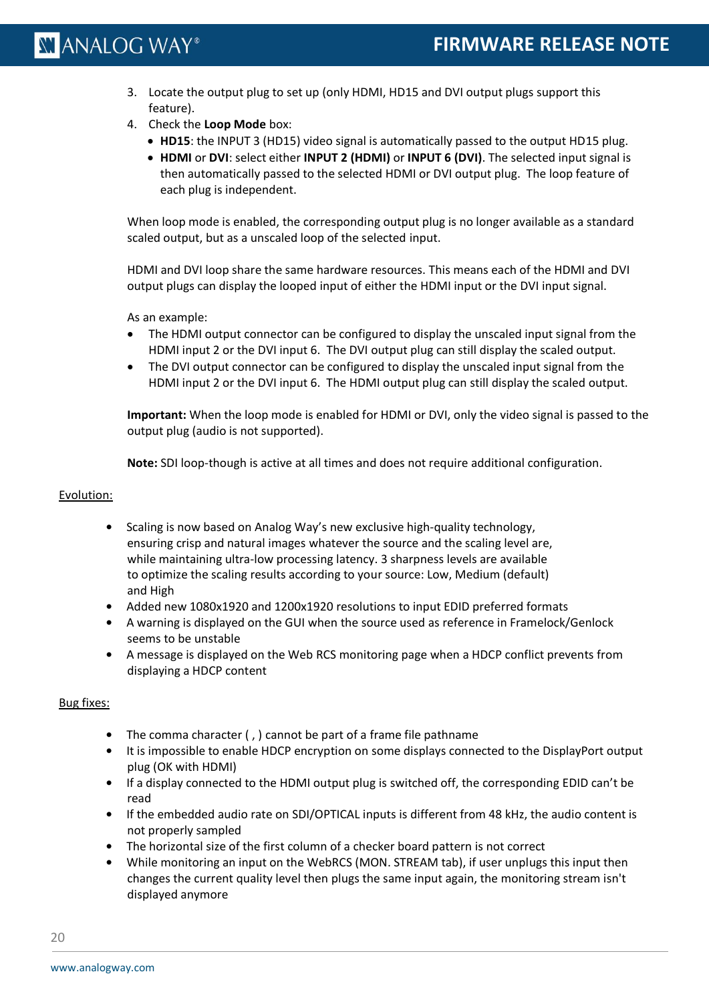- 3. Locate the output plug to set up (only HDMI, HD15 and DVI output plugs support this feature).
- 4. Check the **Loop Mode** box:
	- **HD15**: the INPUT 3 (HD15) video signal is automatically passed to the output HD15 plug.
	- **HDMI** or **DVI**: select either **INPUT 2 (HDMI)** or **INPUT 6 (DVI)**. The selected input signal is then automatically passed to the selected HDMI or DVI output plug. The loop feature of each plug is independent.

When loop mode is enabled, the corresponding output plug is no longer available as a standard scaled output, but as a unscaled loop of the selected input.

HDMI and DVI loop share the same hardware resources. This means each of the HDMI and DVI output plugs can display the looped input of either the HDMI input or the DVI input signal.

As an example:

- The HDMI output connector can be configured to display the unscaled input signal from the HDMI input 2 or the DVI input 6. The DVI output plug can still display the scaled output.
- The DVI output connector can be configured to display the unscaled input signal from the HDMI input 2 or the DVI input 6. The HDMI output plug can still display the scaled output.

**Important:** When the loop mode is enabled for HDMI or DVI, only the video signal is passed to the output plug (audio is not supported).

**Note:** SDI loop-though is active at all times and does not require additional configuration.

### Evolution:

- **•** Scaling is now based on Analog Way's new exclusive high-quality technology, ensuring crisp and natural images whatever the source and the scaling level are, while maintaining ultra-low processing latency. 3 sharpness levels are available to optimize the scaling results according to your source: Low, Medium (default) and High
- **•** Added new 1080x1920 and 1200x1920 resolutions to input EDID preferred formats
- **•** A warning is displayed on the GUI when the source used as reference in Framelock/Genlock seems to be unstable
- **•** A message is displayed on the Web RCS monitoring page when a HDCP conflict prevents from displaying a HDCP content

### Bug fixes:

- **•** The comma character ( , ) cannot be part of a frame file pathname
- **•** It is impossible to enable HDCP encryption on some displays connected to the DisplayPort output plug (OK with HDMI)
- **•** If a display connected to the HDMI output plug is switched off, the corresponding EDID can't be read
- **•** If the embedded audio rate on SDI/OPTICAL inputs is different from 48 kHz, the audio content is not properly sampled
- **•** The horizontal size of the first column of a checker board pattern is not correct
- **•** While monitoring an input on the WebRCS (MON. STREAM tab), if user unplugs this input then changes the current quality level then plugs the same input again, the monitoring stream isn't displayed anymore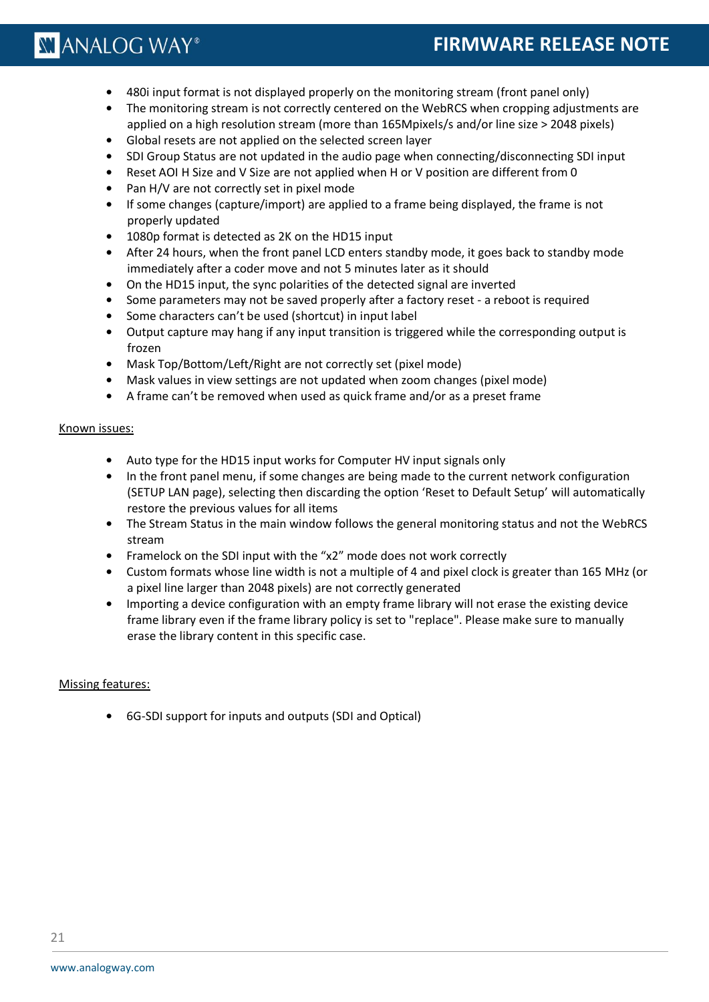- **•** 480i input format is not displayed properly on the monitoring stream (front panel only)
- **•** The monitoring stream is not correctly centered on the WebRCS when cropping adjustments are applied on a high resolution stream (more than 165Mpixels/s and/or line size > 2048 pixels)
- **•** Global resets are not applied on the selected screen layer
- **•** SDI Group Status are not updated in the audio page when connecting/disconnecting SDI input
- **•** Reset AOI H Size and V Size are not applied when H or V position are different from 0
- **•** Pan H/V are not correctly set in pixel mode
- **•** If some changes (capture/import) are applied to a frame being displayed, the frame is not properly updated
- **•** 1080p format is detected as 2K on the HD15 input
- **•** After 24 hours, when the front panel LCD enters standby mode, it goes back to standby mode immediately after a coder move and not 5 minutes later as it should
- **•** On the HD15 input, the sync polarities of the detected signal are inverted
- **•** Some parameters may not be saved properly after a factory reset a reboot is required
- **•** Some characters can't be used (shortcut) in input label
- **•** Output capture may hang if any input transition is triggered while the corresponding output is frozen
- **•** Mask Top/Bottom/Left/Right are not correctly set (pixel mode)
- **•** Mask values in view settings are not updated when zoom changes (pixel mode)
- **•** A frame can't be removed when used as quick frame and/or as a preset frame

### Known issues:

- **•** Auto type for the HD15 input works for Computer HV input signals only
- **•** In the front panel menu, if some changes are being made to the current network configuration (SETUP LAN page), selecting then discarding the option 'Reset to Default Setup' will automatically restore the previous values for all items
- **•** The Stream Status in the main window follows the general monitoring status and not the WebRCS stream
- **•** Framelock on the SDI input with the "x2" mode does not work correctly
- **•** Custom formats whose line width is not a multiple of 4 and pixel clock is greater than 165 MHz (or a pixel line larger than 2048 pixels) are not correctly generated
- **•** Importing a device configuration with an empty frame library will not erase the existing device frame library even if the frame library policy is set to "replace". Please make sure to manually erase the library content in this specific case.

### Missing features:

**•** 6G-SDI support for inputs and outputs (SDI and Optical)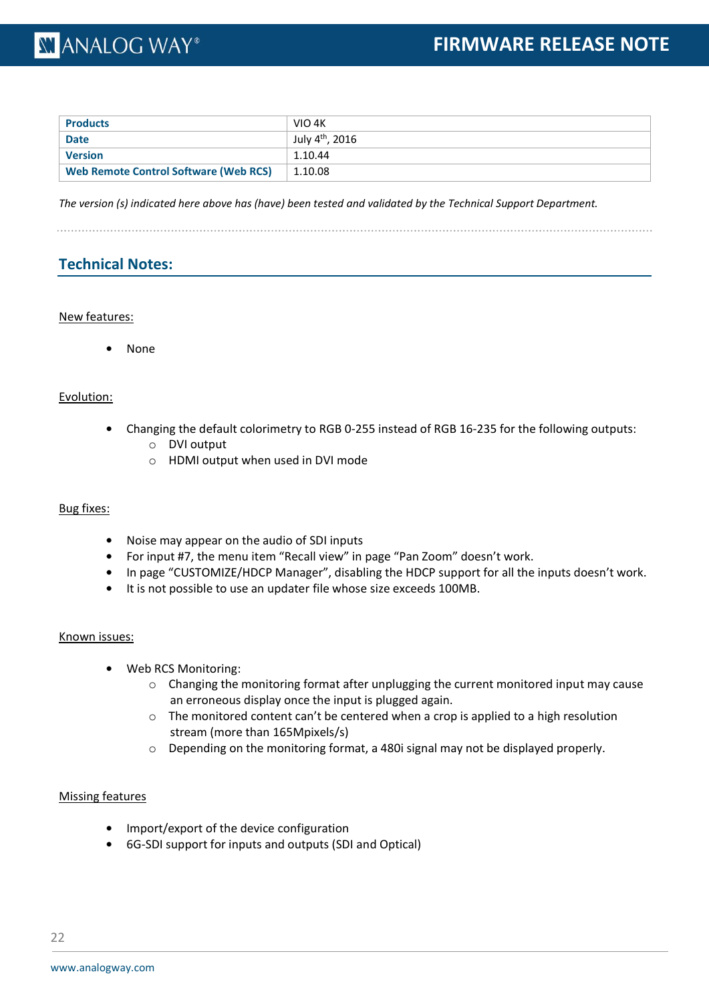### **XY ANALOG WAY®**

| <b>Products</b>                       | VIO 4K                      |
|---------------------------------------|-----------------------------|
| <b>Date</b>                           | July 4 <sup>th</sup> , 2016 |
| <b>Version</b>                        | 1.10.44                     |
| Web Remote Control Software (Web RCS) | 1.10.08                     |

*The version (s) indicated here above has (have) been tested and validated by the Technical Support Department.*

### **Technical Notes:**

### New features:

**•** None

### Evolution:

- **•** Changing the default colorimetry to RGB 0-255 instead of RGB 16-235 for the following outputs:
	- o DVI output
	- o HDMI output when used in DVI mode

### Bug fixes:

- **•** Noise may appear on the audio of SDI inputs
- **•** For input #7, the menu item "Recall view" in page "Pan Zoom" doesn't work.
- **•** In page "CUSTOMIZE/HDCP Manager", disabling the HDCP support for all the inputs doesn't work.
- **•** It is not possible to use an updater file whose size exceeds 100MB.

### Known issues:

- **•** Web RCS Monitoring:
	- $\circ$  Changing the monitoring format after unplugging the current monitored input may cause an erroneous display once the input is plugged again.
	- $\circ$  The monitored content can't be centered when a crop is applied to a high resolution stream (more than 165Mpixels/s)
	- o Depending on the monitoring format, a 480i signal may not be displayed properly.

### Missing features

- **•** Import/export of the device configuration
- **•** 6G-SDI support for inputs and outputs (SDI and Optical)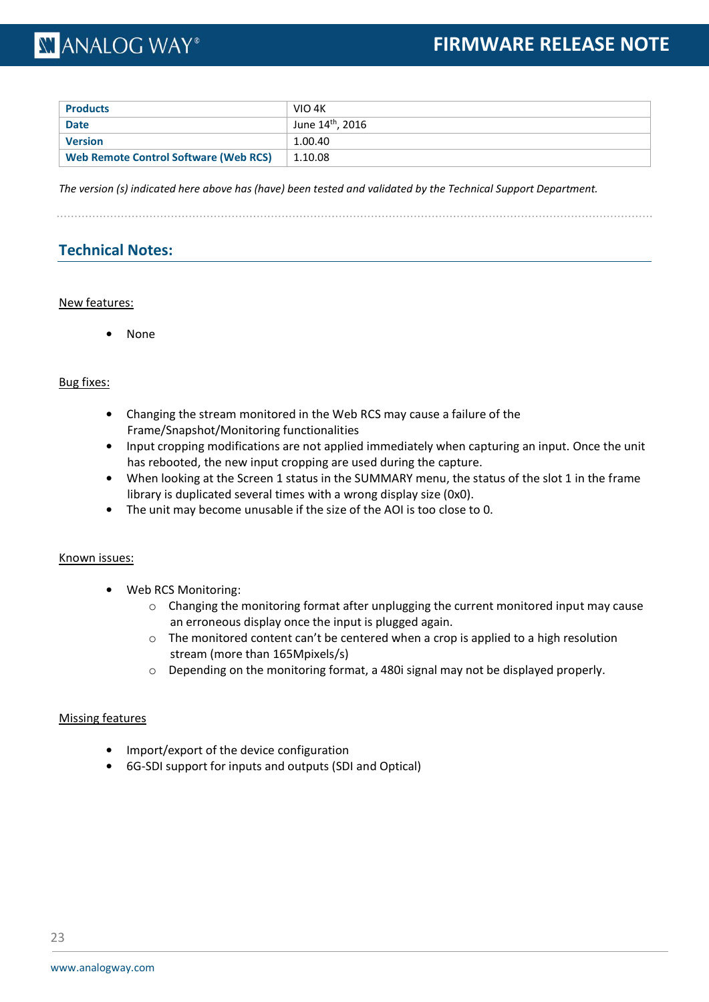### **XY ANALOG WAY®**

| <b>Products</b>                              | VIO 4K                       |
|----------------------------------------------|------------------------------|
| <b>Date</b>                                  | June $14^{\text{th}}$ , 2016 |
| Version                                      | 1.00.40                      |
| <b>Web Remote Control Software (Web RCS)</b> | 1.10.08                      |

*The version (s) indicated here above has (have) been tested and validated by the Technical Support Department.*

### **Technical Notes:**

### New features:

**•** None

### Bug fixes:

- **•** Changing the stream monitored in the Web RCS may cause a failure of the Frame/Snapshot/Monitoring functionalities
- **•** Input cropping modifications are not applied immediately when capturing an input. Once the unit has rebooted, the new input cropping are used during the capture.
- **•** When looking at the Screen 1 status in the SUMMARY menu, the status of the slot 1 in the frame library is duplicated several times with a wrong display size (0x0).
- **•** The unit may become unusable if the size of the AOI is too close to 0.

### Known issues:

- **•** Web RCS Monitoring:
	- $\circ$  Changing the monitoring format after unplugging the current monitored input may cause an erroneous display once the input is plugged again.
	- $\circ$  The monitored content can't be centered when a crop is applied to a high resolution stream (more than 165Mpixels/s)
	- $\circ$  Depending on the monitoring format, a 480i signal may not be displayed properly.

### Missing features

- **•** Import/export of the device configuration
- **•** 6G-SDI support for inputs and outputs (SDI and Optical)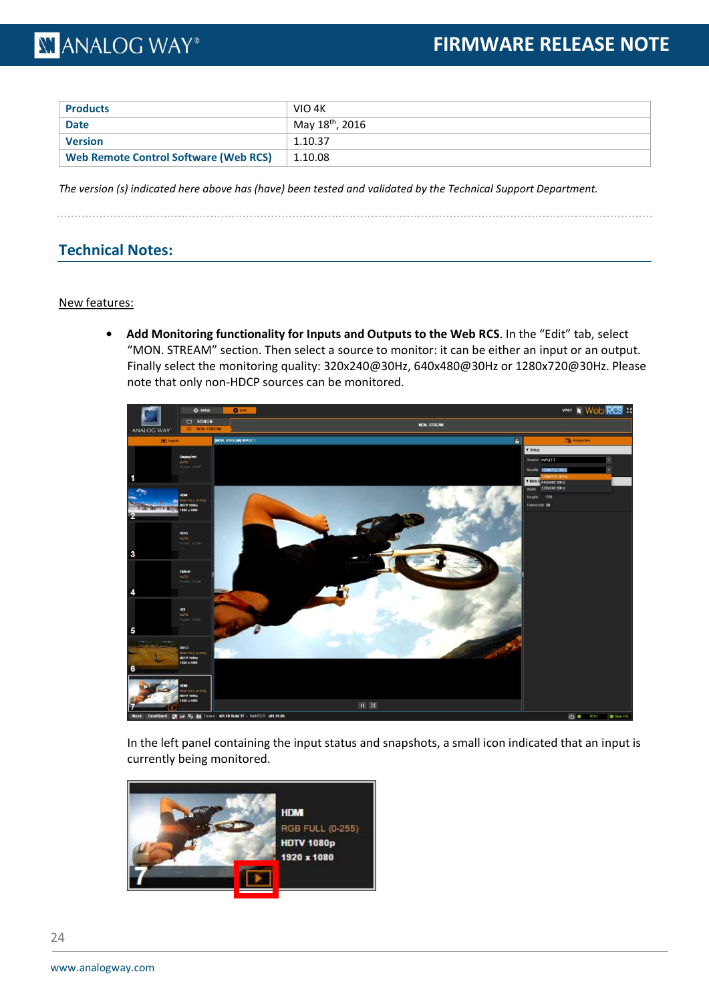| <b>Products</b>                              | VIO 4K                      |
|----------------------------------------------|-----------------------------|
| <b>Date</b>                                  | May 18 <sup>th</sup> , 2016 |
| <b>Version</b>                               | 1.10.37                     |
| <b>Web Remote Control Software (Web RCS)</b> | 1.10.08                     |

*The version (s) indicated here above has (have) been tested and validated by the Technical Support Department.*

### **Technical Notes:**

### New features:

**• Add Monitoring functionality for Inputs and Outputs to the Web RCS**. In the "Edit" tab, select "MON. STREAM" section. Then select a source to monitor: it can be either an input or an output. Finally select the monitoring quality: 320x240@30Hz, 640x480@30Hz or 1280x720@30Hz. Please note that only non-HDCP sources can be monitored.



In the left panel containing the input status and snapshots, a small icon indicated that an input is currently being monitored.

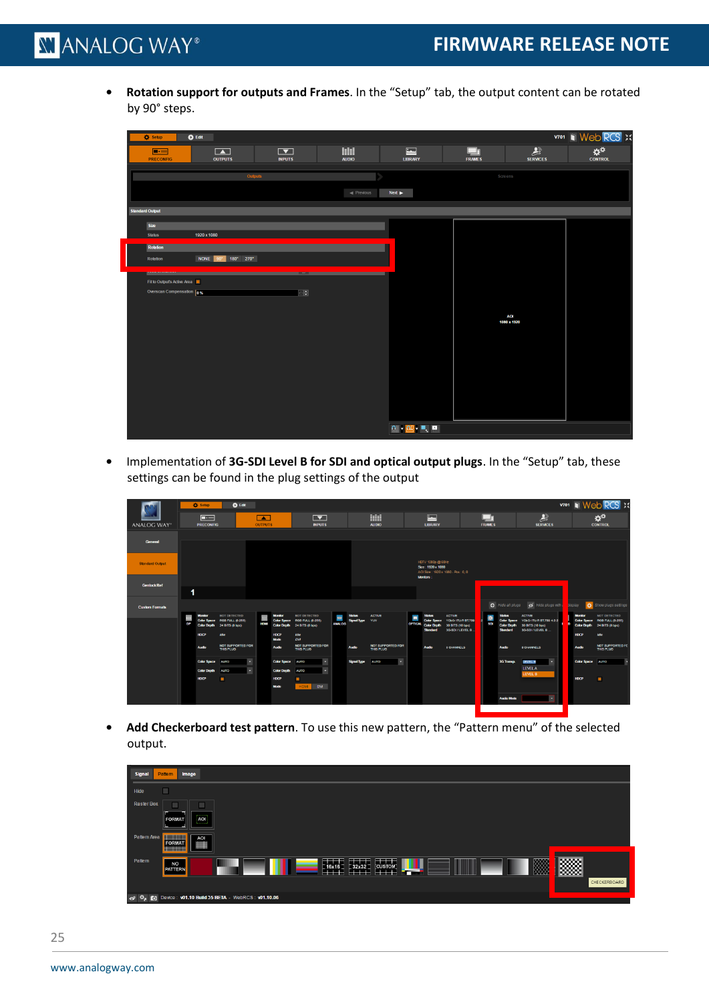**• Rotation support for outputs and Frames**. In the "Setup" tab, the output content can be rotated by 90° steps.

| C Setup                            | $\bullet$ Edit                   |                                               |                               |                                                                                                                                                                                                                                                                                                                                                     |                     |                                 | <b>V701   Web RCS</b> X                           |
|------------------------------------|----------------------------------|-----------------------------------------------|-------------------------------|-----------------------------------------------------------------------------------------------------------------------------------------------------------------------------------------------------------------------------------------------------------------------------------------------------------------------------------------------------|---------------------|---------------------------------|---------------------------------------------------|
| $\blacksquare$<br><b>PRECONFIG</b> | $\blacksquare$<br><b>OUTPUTS</b> | $\boxed{\blacktriangledown}$<br><b>INPUTS</b> | <b>THE</b><br><b>AUDIO</b>    | $\blacksquare$<br><b>LIBRARY</b>                                                                                                                                                                                                                                                                                                                    | $\frac{\Box}{\Box}$ | $\mathbf{L}$<br><b>SERVICES</b> | $\mathbf{\hat{x}}^{\mathrm{0}}$<br><b>CONTROL</b> |
|                                    |                                  | Outputs                                       |                               |                                                                                                                                                                                                                                                                                                                                                     | Screens             |                                 |                                                   |
|                                    |                                  |                                               | $\blacktriangleleft$ Previous | $Next \rightarrow$                                                                                                                                                                                                                                                                                                                                  |                     |                                 |                                                   |
| <b>Standard Output</b>             |                                  |                                               |                               |                                                                                                                                                                                                                                                                                                                                                     |                     |                                 |                                                   |
| Size                               |                                  |                                               |                               |                                                                                                                                                                                                                                                                                                                                                     |                     |                                 |                                                   |
| <b>Status</b>                      | 1920 x 1080                      |                                               |                               |                                                                                                                                                                                                                                                                                                                                                     |                     |                                 |                                                   |
| Rotation                           |                                  |                                               |                               |                                                                                                                                                                                                                                                                                                                                                     |                     |                                 |                                                   |
| Rotation                           | NONE 90' 180° 270°               |                                               |                               |                                                                                                                                                                                                                                                                                                                                                     |                     |                                 |                                                   |
|                                    |                                  |                                               |                               |                                                                                                                                                                                                                                                                                                                                                     |                     |                                 |                                                   |
| Fit to Output's Active Area        |                                  |                                               |                               |                                                                                                                                                                                                                                                                                                                                                     |                     |                                 |                                                   |
| Overscan Compensation 0%           |                                  | $\Box$                                        |                               |                                                                                                                                                                                                                                                                                                                                                     |                     |                                 |                                                   |
|                                    |                                  |                                               |                               |                                                                                                                                                                                                                                                                                                                                                     |                     |                                 |                                                   |
|                                    |                                  |                                               |                               |                                                                                                                                                                                                                                                                                                                                                     |                     | <b>AOI</b><br>1080 x 1920       |                                                   |
|                                    |                                  |                                               |                               |                                                                                                                                                                                                                                                                                                                                                     |                     |                                 |                                                   |
|                                    |                                  |                                               |                               |                                                                                                                                                                                                                                                                                                                                                     |                     |                                 |                                                   |
|                                    |                                  |                                               |                               |                                                                                                                                                                                                                                                                                                                                                     |                     |                                 |                                                   |
|                                    |                                  |                                               |                               |                                                                                                                                                                                                                                                                                                                                                     |                     |                                 |                                                   |
|                                    |                                  |                                               |                               |                                                                                                                                                                                                                                                                                                                                                     |                     |                                 |                                                   |
|                                    |                                  |                                               |                               |                                                                                                                                                                                                                                                                                                                                                     |                     |                                 |                                                   |
|                                    |                                  |                                               |                               |                                                                                                                                                                                                                                                                                                                                                     |                     |                                 |                                                   |
|                                    |                                  |                                               |                               |                                                                                                                                                                                                                                                                                                                                                     |                     |                                 |                                                   |
|                                    |                                  |                                               |                               | $\begin{picture}(20,20) \put(0,0){\line(1,0){10}} \put(15,0){\line(1,0){10}} \put(15,0){\line(1,0){10}} \put(15,0){\line(1,0){10}} \put(15,0){\line(1,0){10}} \put(15,0){\line(1,0){10}} \put(15,0){\line(1,0){10}} \put(15,0){\line(1,0){10}} \put(15,0){\line(1,0){10}} \put(15,0){\line(1,0){10}} \put(15,0){\line(1,0){10}} \put(15,0){\line(1$ |                     |                                 |                                                   |

**•** Implementation of **3G-SDI Level B for SDI and optical output plugs**. In the "Setup" tab, these settings can be found in the plug settings of the output

|                        |    | <b>C</b> Setup     | <b>O</b> Edit                                               |                          |                            |                                                 |               |                    |                                         |   |                                        |                                                                        |               |                                       |                                                                               |                    | <b>V701 III Web RCS X</b>                       |
|------------------------|----|--------------------|-------------------------------------------------------------|--------------------------|----------------------------|-------------------------------------------------|---------------|--------------------|-----------------------------------------|---|----------------------------------------|------------------------------------------------------------------------|---------------|---------------------------------------|-------------------------------------------------------------------------------|--------------------|-------------------------------------------------|
|                        |    | $\Box$             |                                                             | $\sqrt{2}$               |                            | $\blacksquare$                                  |               |                    | <b>THE</b>                              |   | $\overline{\phantom{a}}$               |                                                                        |               |                                       | 县                                                                             |                    | $\alpha^{\alpha}$                               |
| <b>ANALOG WAY</b>      |    | <b>PRECONFIG</b>   |                                                             | <b>OUTPUTS</b>           |                            | <b>INPUTS</b>                                   |               |                    | <b>AUDIO</b>                            |   | <b>LIBRARY</b>                         |                                                                        | <b>FRAMES</b> |                                       | <b>SERVICES</b>                                                               |                    | <b>CONTROL</b>                                  |
|                        |    |                    |                                                             |                          |                            |                                                 |               |                    |                                         |   |                                        |                                                                        |               |                                       |                                                                               |                    |                                                 |
| <b>General</b>         |    |                    |                                                             |                          |                            |                                                 |               |                    |                                         |   |                                        |                                                                        |               |                                       |                                                                               |                    |                                                 |
| <b>Standard Output</b> |    |                    |                                                             |                          |                            |                                                 |               |                    |                                         |   | HDTV 1080p @ 60Hz<br>Size: 1920 x 1080 |                                                                        |               |                                       |                                                                               |                    |                                                 |
|                        |    |                    |                                                             |                          |                            |                                                 |               |                    |                                         |   |                                        | ACI Size: 1920 x 1080 - Pos: 0.0                                       |               |                                       |                                                                               |                    |                                                 |
|                        |    |                    |                                                             |                          |                            |                                                 |               |                    |                                         |   | <b>Monitors:</b>                       |                                                                        |               |                                       |                                                                               |                    |                                                 |
| <b>Genlock Ref</b>     | 1  |                    |                                                             |                          |                            |                                                 |               |                    |                                         |   |                                        |                                                                        |               |                                       |                                                                               |                    |                                                 |
| <b>Custom Formats</b>  |    |                    |                                                             |                          |                            |                                                 |               |                    |                                         |   |                                        |                                                                        |               | Hide all plugs                        | Hide plugs with                                                               | <b>Splay</b>       | Show plugs settings                             |
|                        |    | <b>Monitor</b>     | <b>NOT DETECTED</b>                                         | $\equiv$                 | <b>Monitor</b>             | <b>NOT DETECTED</b>                             | 1337          | <b>Status</b>      | <b>ACTIVE</b>                           | E | <b>Status</b>                          | <b>ACTIVE</b>                                                          | $\bullet$     | <b>Status</b>                         | <b>ACTIVE</b>                                                                 | <b>Monitor</b>     | NOT DETECTED                                    |
|                        | DP |                    | Color Space RGB FULL (0-255)<br>Color Depth 24 BITS (8 bpc) | <b>HDM</b>               | <b>Color Depth</b>         | Color Space RGB FULL (0-255)<br>24 BITS (8 bpc) | <b>ANALOG</b> | <b>Signal Type</b> | YUV                                     |   | OPTICAL Color Depth<br><b>Standard</b> | Color Space YCbCr ITU-R BT.709<br>30 BITS (10 bpc)<br>3G-SDI / LEVEL B | <b>SDI</b>    | <b>Color Depth</b><br><b>Standard</b> | Color Space YCbCr ITU-R BT.709 4:2:2<br>30 BITS (10 bpc)<br>3G-SDI / LEVEL B. | <b>Color Depth</b> | Color Space RGB FULL (3-255)<br>24 BITS (8 bpc) |
|                        |    | <b>HDCP</b>        | kile                                                        |                          | <b>HDCP</b><br><b>Mode</b> | kdle<br><b>DVI</b>                              |               |                    |                                         |   |                                        |                                                                        |               |                                       |                                                                               | <b>HDCP</b>        | kte                                             |
|                        |    | Audio              | NOT SUPPORTED FOR<br>THIS PLUG                              |                          | <b>Audio</b>               | <b>NOT SUPPORTED FOR</b><br>THIS PLUG           |               | <b>Audio</b>       | <b>NOT SUPPORTED FOR</b><br>THIS PLUG   |   | <b>Audio</b>                           | <b>8 CHANNELS</b>                                                      |               | <b>Audio</b>                          | <b>B CHANNELS</b>                                                             | <b>Audio</b>       | <b>NOT SUPPORTED FC</b><br>THIS PLUG            |
|                        |    | <b>Color Space</b> | <b>AUTO</b>                                                 | $\overline{\phantom{a}}$ | <b>Color Space</b>         | ٠<br><b>AUTO</b>                                |               | Signal Type        | $\overline{\phantom{a}}$<br><b>AUTO</b> |   |                                        |                                                                        |               | 3G Transp.                            | <b>LEVEL B</b><br>۰.                                                          | Color Space AUTO   |                                                 |
|                        |    | <b>Color Depth</b> | <b>AUTO</b>                                                 | $\bullet$                | <b>Color Depth</b>         | ы<br><b>AUTO</b>                                |               |                    |                                         |   |                                        |                                                                        |               |                                       | LEVELA                                                                        |                    |                                                 |
|                        |    | <b>HDCP</b>        | ▬                                                           |                          | <b>HDCP</b>                | $\blacksquare$                                  |               |                    |                                         |   |                                        |                                                                        |               |                                       | LEVEL B                                                                       | <b>HDCP</b>        | J                                               |
|                        |    |                    |                                                             |                          | Mode                       | <b>DVI</b><br>HDM.                              |               |                    |                                         |   |                                        |                                                                        |               |                                       |                                                                               |                    |                                                 |
|                        |    |                    |                                                             |                          |                            |                                                 |               |                    |                                         |   |                                        |                                                                        |               | <b>Audio Mode</b>                     | ×                                                                             |                    |                                                 |
|                        |    |                    |                                                             |                          |                            |                                                 |               |                    |                                         |   |                                        |                                                                        |               |                                       |                                                                               |                    |                                                 |

**• Add Checkerboard test pattern**. To use this new pattern, the "Pattern menu" of the selected output.

| <b>Signal</b><br>Image<br>Pattern                                                                                                     |              |
|---------------------------------------------------------------------------------------------------------------------------------------|--------------|
| □<br>Hide                                                                                                                             |              |
| <b>Raster Box</b><br>------<br><b>AOI</b><br><b>FORMAT</b><br><b>Contract</b>                                                         |              |
| <b>BURNING</b><br>Pattern Area<br>$\frac{1}{\frac{1}{\sqrt{2}}}\frac{1}{\sqrt{2}}$<br><b>FORMAT</b><br><b>HUILING</b>                 |              |
| Pattern<br><b>Beach</b><br><b>HELL</b><br><b>====</b><br>m<br><b>NO</b><br>16x16<br>$-32x32$<br><b>CUSTOM</b><br>PATTERN<br>⋙<br>==== | 羉            |
|                                                                                                                                       | CHECKERBOARD |
| o Φ <sub>R</sub> c Device: <b>v01.10 Build 35 BETA</b> - WebRCS: <b>v01.10.06</b>                                                     |              |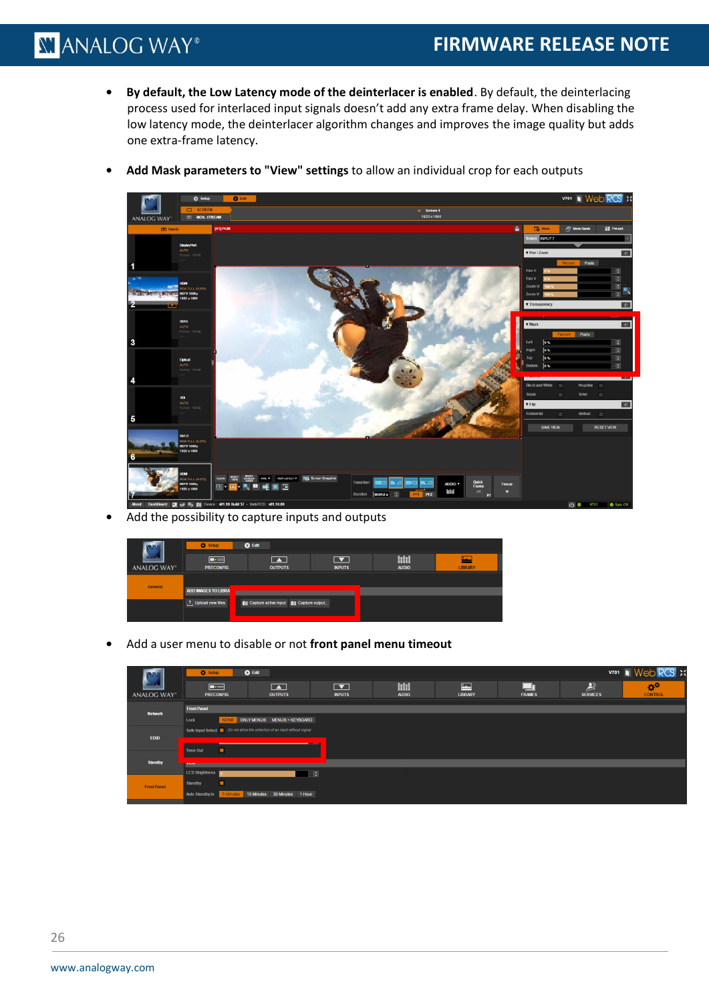**• By default, the Low Latency mode of the deinterlacer is enabled**. By default, the deinterlacing process used for interlaced input signals doesn't add any extra frame delay. When disabling the low latency mode, the deinterlacer algorithm changes and improves the image quality but adds one extra-frame latency.



**• Add Mask parameters to "View" settings** to allow an individual crop for each outputs

**•** Add the possibility to capture inputs and outputs

|             | G Setup                     | <b>O</b> Edit                       |                                           |                   |                |
|-------------|-----------------------------|-------------------------------------|-------------------------------------------|-------------------|----------------|
| ANALOG WAY® | $\Box$<br><b>PRECONFIG</b>  | $\blacksquare$<br><b>OUTPUTS</b>    | $\overline{\phantom{a}}$<br><b>INPUTS</b> | Ⅲ<br><b>AUDIO</b> | <b>LIBRARY</b> |
|             |                             |                                     |                                           |                   |                |
| General     | <b>ADD IMAGES TO LIBRAL</b> |                                     |                                           |                   |                |
|             | t Upload new files          | Capture active input capture output |                                           |                   |                |
|             |                             |                                     |                                           |                   |                |

**•** Add a user menu to disable or not **front panel menu timeout**

| $\alpha^{\circ}$<br><b>CONTROL</b> |
|------------------------------------|
|                                    |
|                                    |
|                                    |
|                                    |
|                                    |
|                                    |
|                                    |
|                                    |
|                                    |
|                                    |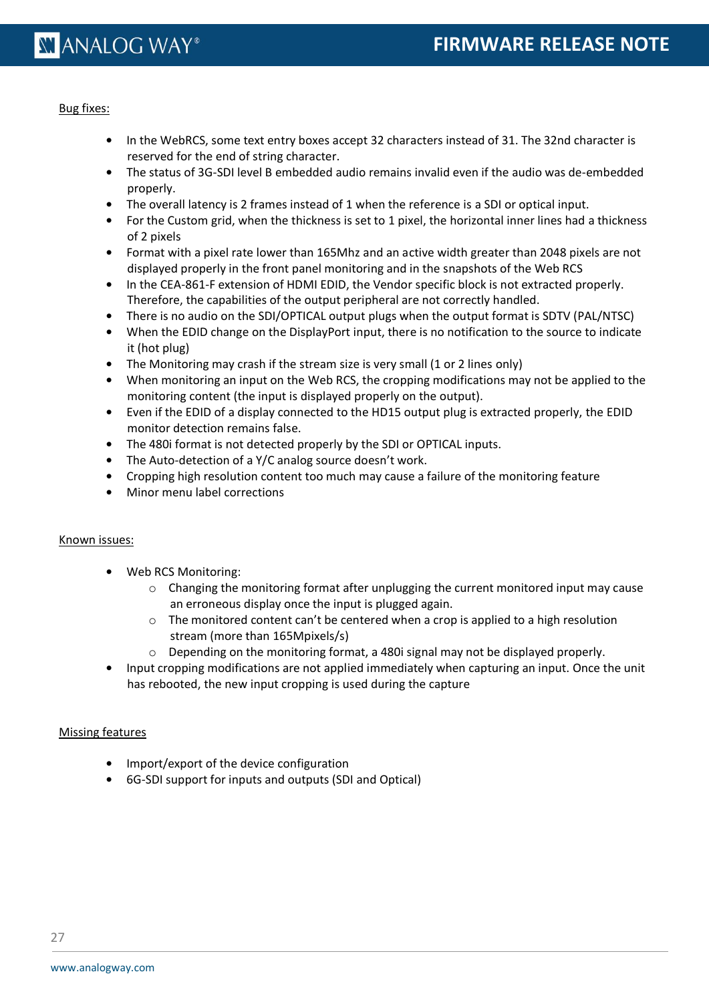#### Bug fixes:

- **•** In the WebRCS, some text entry boxes accept 32 characters instead of 31. The 32nd character is reserved for the end of string character.
- **•** The status of 3G-SDI level B embedded audio remains invalid even if the audio was de-embedded properly.
- **•** The overall latency is 2 frames instead of 1 when the reference is a SDI or optical input.
- **•** For the Custom grid, when the thickness is set to 1 pixel, the horizontal inner lines had a thickness of 2 pixels
- **•** Format with a pixel rate lower than 165Mhz and an active width greater than 2048 pixels are not displayed properly in the front panel monitoring and in the snapshots of the Web RCS
- **•** In the CEA-861-F extension of HDMI EDID, the Vendor specific block is not extracted properly. Therefore, the capabilities of the output peripheral are not correctly handled.
- **•** There is no audio on the SDI/OPTICAL output plugs when the output format is SDTV (PAL/NTSC)
- **•** When the EDID change on the DisplayPort input, there is no notification to the source to indicate it (hot plug)
- The Monitoring may crash if the stream size is very small (1 or 2 lines only)
- **•** When monitoring an input on the Web RCS, the cropping modifications may not be applied to the monitoring content (the input is displayed properly on the output).
- **•** Even if the EDID of a display connected to the HD15 output plug is extracted properly, the EDID monitor detection remains false.
- **•** The 480i format is not detected properly by the SDI or OPTICAL inputs.
- **•** The Auto-detection of a Y/C analog source doesn't work.
- **•** Cropping high resolution content too much may cause a failure of the monitoring feature
- **•** Minor menu label corrections

### Known issues:

- **•** Web RCS Monitoring:
	- $\circ$  Changing the monitoring format after unplugging the current monitored input may cause an erroneous display once the input is plugged again.
	- $\circ$  The monitored content can't be centered when a crop is applied to a high resolution stream (more than 165Mpixels/s)
	- $\circ$  Depending on the monitoring format, a 480i signal may not be displayed properly.
- **•** Input cropping modifications are not applied immediately when capturing an input. Once the unit has rebooted, the new input cropping is used during the capture

### Missing features

- **•** Import/export of the device configuration
- **•** 6G-SDI support for inputs and outputs (SDI and Optical)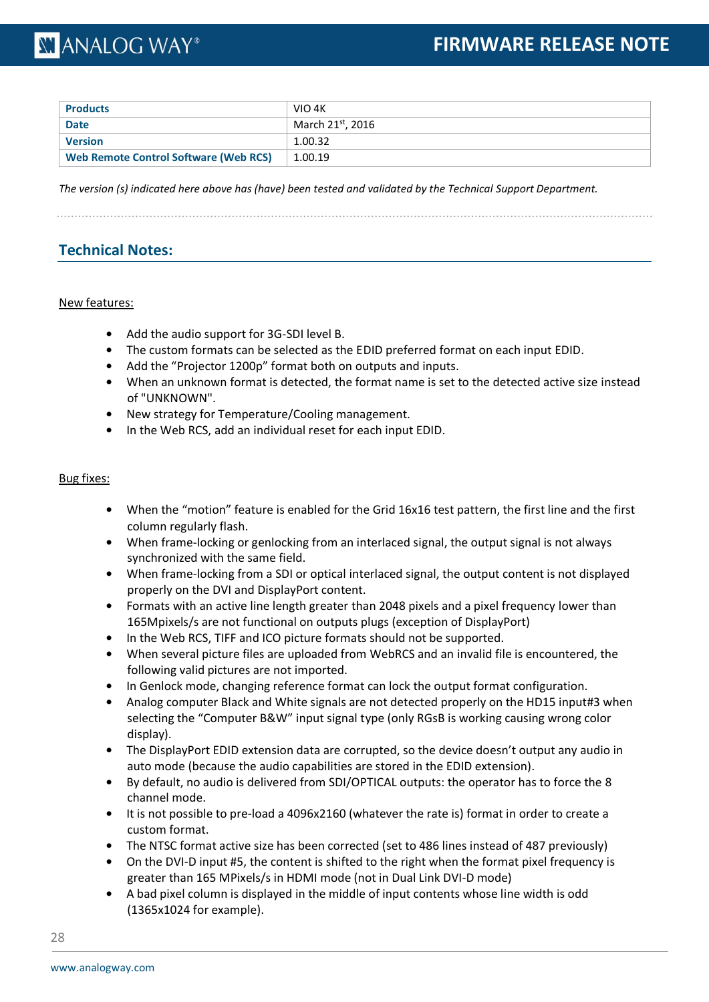| <b>Products</b>                              | VIO 4K           |
|----------------------------------------------|------------------|
| <b>Date</b>                                  | March 21st, 2016 |
| <b>Version</b>                               | 1.00.32          |
| <b>Web Remote Control Software (Web RCS)</b> | 1.00.19          |

*The version (s) indicated here above has (have) been tested and validated by the Technical Support Department.*

### **Technical Notes:**

### New features:

- **•** Add the audio support for 3G-SDI level B.
- **•** The custom formats can be selected as the EDID preferred format on each input EDID.
- **•** Add the "Projector 1200p" format both on outputs and inputs.
- **•** When an unknown format is detected, the format name is set to the detected active size instead of "UNKNOWN".
- **•** New strategy for Temperature/Cooling management.
- **•** In the Web RCS, add an individual reset for each input EDID.

### Bug fixes:

- **•** When the "motion" feature is enabled for the Grid 16x16 test pattern, the first line and the first column regularly flash.
- **•** When frame-locking or genlocking from an interlaced signal, the output signal is not always synchronized with the same field.
- **•** When frame-locking from a SDI or optical interlaced signal, the output content is not displayed properly on the DVI and DisplayPort content.
- **•** Formats with an active line length greater than 2048 pixels and a pixel frequency lower than 165Mpixels/s are not functional on outputs plugs (exception of DisplayPort)
- **•** In the Web RCS, TIFF and ICO picture formats should not be supported.
- **•** When several picture files are uploaded from WebRCS and an invalid file is encountered, the following valid pictures are not imported.
- **•** In Genlock mode, changing reference format can lock the output format configuration.
- **•** Analog computer Black and White signals are not detected properly on the HD15 input#3 when selecting the "Computer B&W" input signal type (only RGsB is working causing wrong color display).
- **•** The DisplayPort EDID extension data are corrupted, so the device doesn't output any audio in auto mode (because the audio capabilities are stored in the EDID extension).
- **•** By default, no audio is delivered from SDI/OPTICAL outputs: the operator has to force the 8 channel mode.
- **•** It is not possible to pre-load a 4096x2160 (whatever the rate is) format in order to create a custom format.
- The NTSC format active size has been corrected (set to 486 lines instead of 487 previously)
- **•** On the DVI-D input #5, the content is shifted to the right when the format pixel frequency is greater than 165 MPixels/s in HDMI mode (not in Dual Link DVI-D mode)
- **•** A bad pixel column is displayed in the middle of input contents whose line width is odd (1365x1024 for example).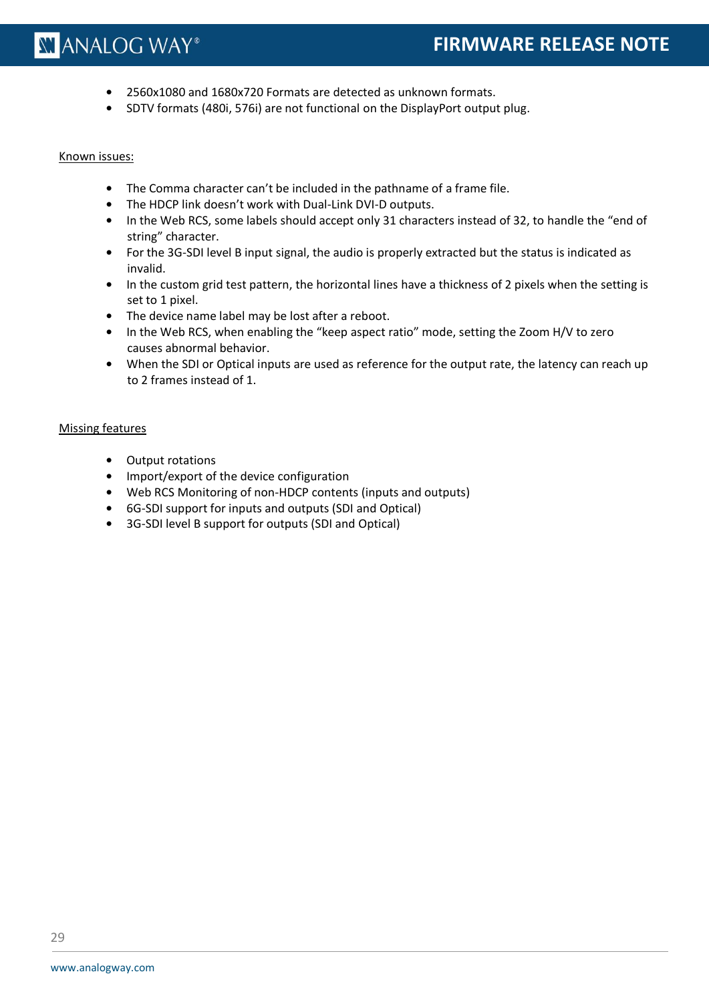- **•** 2560x1080 and 1680x720 Formats are detected as unknown formats.
- **•** SDTV formats (480i, 576i) are not functional on the DisplayPort output plug.

#### Known issues:

- **•** The Comma character can't be included in the pathname of a frame file.
- **•** The HDCP link doesn't work with Dual-Link DVI-D outputs.
- **•** In the Web RCS, some labels should accept only 31 characters instead of 32, to handle the "end of string" character.
- **•** For the 3G-SDI level B input signal, the audio is properly extracted but the status is indicated as invalid.
- **•** In the custom grid test pattern, the horizontal lines have a thickness of 2 pixels when the setting is set to 1 pixel.
- **•** The device name label may be lost after a reboot.
- **•** In the Web RCS, when enabling the "keep aspect ratio" mode, setting the Zoom H/V to zero causes abnormal behavior.
- **•** When the SDI or Optical inputs are used as reference for the output rate, the latency can reach up to 2 frames instead of 1.

### Missing features

- **•** Output rotations
- **•** Import/export of the device configuration
- **•** Web RCS Monitoring of non-HDCP contents (inputs and outputs)
- **•** 6G-SDI support for inputs and outputs (SDI and Optical)
- **•** 3G-SDI level B support for outputs (SDI and Optical)